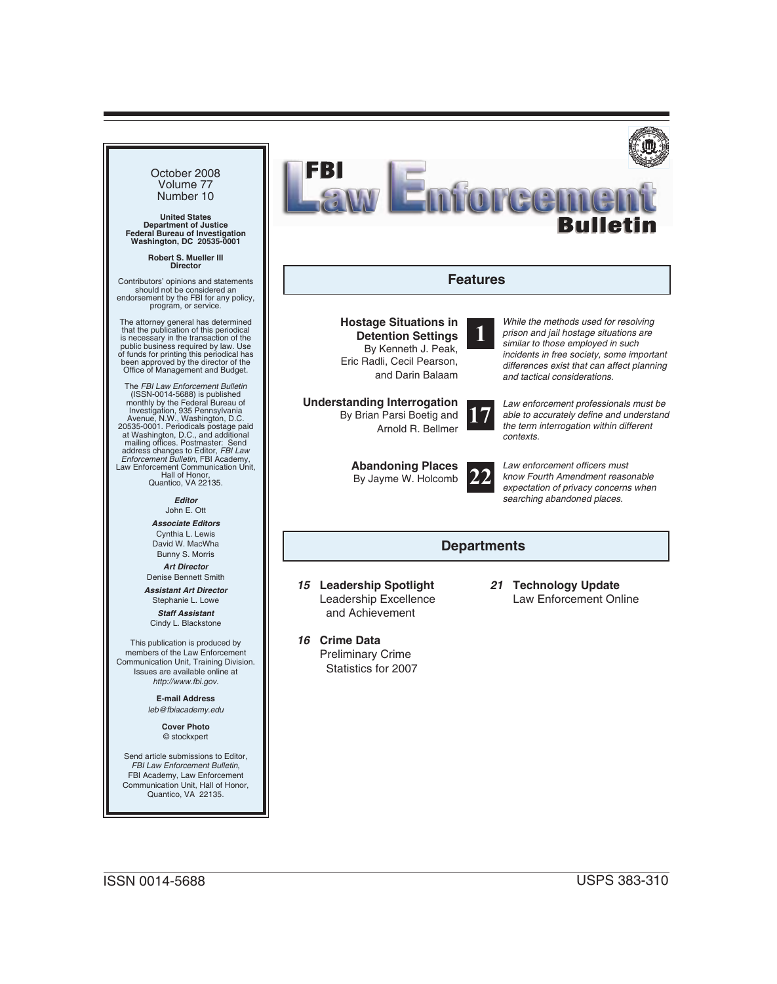| October 2008<br>Volume 77<br>Number 10                                                                                                                                                                                                                                                                                               |                                                                                                                                    |                                                                                                                                                                                                                                                |
|--------------------------------------------------------------------------------------------------------------------------------------------------------------------------------------------------------------------------------------------------------------------------------------------------------------------------------------|------------------------------------------------------------------------------------------------------------------------------------|------------------------------------------------------------------------------------------------------------------------------------------------------------------------------------------------------------------------------------------------|
| <b>United States</b><br><b>Department of Justice</b><br><b>Federal Bureau of Investigation</b><br>Washington, DC 20535-0001                                                                                                                                                                                                          |                                                                                                                                    | Bulle                                                                                                                                                                                                                                          |
| <b>Robert S. Mueller III</b><br><b>Director</b>                                                                                                                                                                                                                                                                                      |                                                                                                                                    |                                                                                                                                                                                                                                                |
| Contributors' opinions and statements<br>should not be considered an<br>endorsement by the FBI for any policy,<br>program, or service.                                                                                                                                                                                               |                                                                                                                                    | <b>Features</b>                                                                                                                                                                                                                                |
| The attorney general has determined<br>that the publication of this periodical<br>is necessary in the transaction of the<br>public business required by law. Use<br>of funds for printing this periodical has<br>been approved by the director of the<br>Office of Management and Budget.                                            | <b>Hostage Situations in</b><br><b>Detention Settings</b><br>By Kenneth J. Peak,<br>Eric Radli, Cecil Pearson,<br>and Darin Balaam | While the methods used for resolving<br>prison and jail hostage situations are<br>similar to those employed in such<br>incidents in free society, some important<br>differences exist that can affect planning<br>and tactical considerations. |
| The FBI Law Enforcement Bulletin<br>(ISSN-0014-5688) is published<br>monthly by the Federal Bureau of<br>Investigation, 935 Pennsylvania<br>Avenue, N.W., Washington, D.C.<br>20535-0001. Periodicals postage paid<br>at Washington, D.C., and additional<br>mailing offices. Postmaster: Send<br>address changes to Editor, FBI Law | <b>Understanding Interrogation</b><br>By Brian Parsi Boetig and<br>Arnold R. Bellmer                                               | Law enforcement professionals must be<br>able to accurately define and understand<br>the term interrogation within different<br>contexts.                                                                                                      |
| Enforcement Bulletin, FBI Academy,<br>Law Enforcement Communication Unit,<br>Hall of Honor,<br>Quantico, VA 22135.<br><b>Editor</b>                                                                                                                                                                                                  | <b>Abandoning Places</b><br>By Jayme W. Holcomb                                                                                    | Law enforcement officers must<br>know Fourth Amendment reasonable<br>expectation of privacy concerns when<br>searching abandoned places.                                                                                                       |
| John E. Ott<br><b>Associate Editors</b>                                                                                                                                                                                                                                                                                              |                                                                                                                                    |                                                                                                                                                                                                                                                |
| Cynthia L. Lewis<br>David W. MacWha<br>Bunny S. Morris                                                                                                                                                                                                                                                                               | <b>Departments</b>                                                                                                                 |                                                                                                                                                                                                                                                |
| <b>Art Director</b><br><b>Denise Bennett Smith</b><br><b>Assistant Art Director</b><br>Stephanie L. Lowe<br><b>Staff Assistant</b><br>Cindy L. Blackstone                                                                                                                                                                            | 15 Leadership Spotlight<br>Leadership Excellence<br>and Achievement                                                                | 21 Technology Update<br><b>Law Enforcement Online</b>                                                                                                                                                                                          |
| This publication is produced by<br>members of the Law Enforcement<br>Communication Unit, Training Division.<br>Issues are available online at<br>http://www.fbi.gov.                                                                                                                                                                 | 16<br><b>Crime Data</b><br><b>Preliminary Crime</b><br>Statistics for 2007                                                         |                                                                                                                                                                                                                                                |
| <b>E-mail Address</b><br>leb@fbiacademy.edu                                                                                                                                                                                                                                                                                          |                                                                                                                                    |                                                                                                                                                                                                                                                |
| <b>Cover Photo</b><br>© stockxpert                                                                                                                                                                                                                                                                                                   |                                                                                                                                    |                                                                                                                                                                                                                                                |
| Send article submissions to Editor,<br>FBI Law Enforcement Bulletin,<br>FBI Academy, Law Enforcement<br>Communication Unit, Hall of Honor,<br>Quantico, VA 22135.                                                                                                                                                                    |                                                                                                                                    |                                                                                                                                                                                                                                                |
|                                                                                                                                                                                                                                                                                                                                      |                                                                                                                                    |                                                                                                                                                                                                                                                |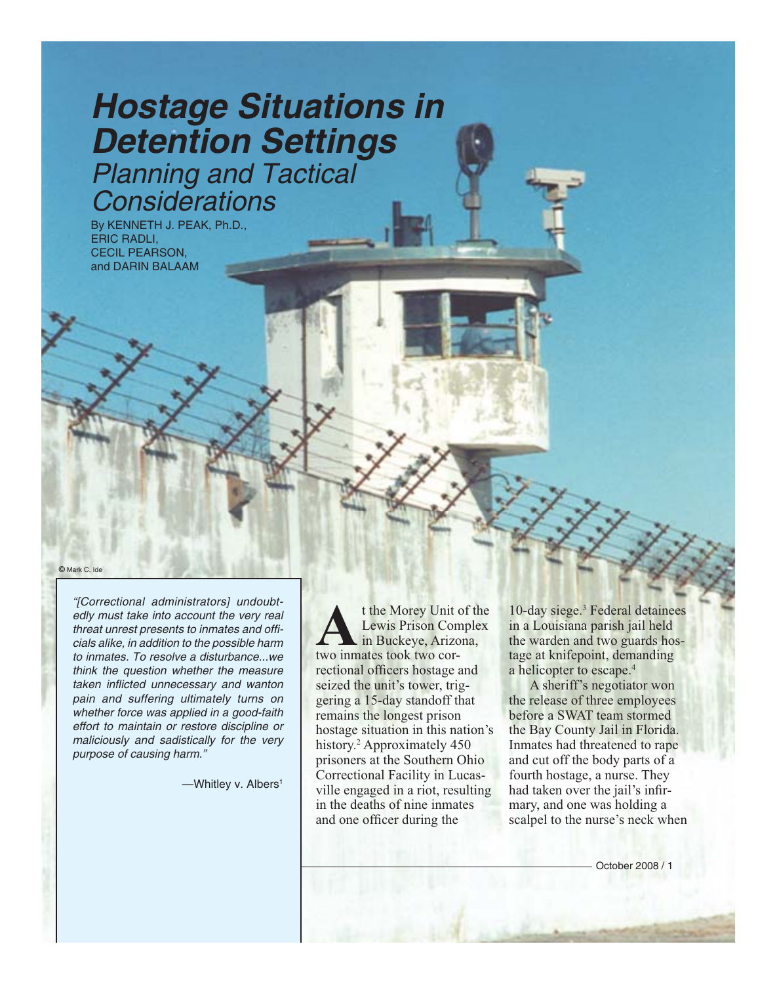### **Hostage Situations in Detention Settings** Planning and Tactical **Considerations**

By KENNETH J. PEAK, Ph.D., ERIC RADLI, CECIL PEARSON, and DARIN BALAAM

© Mark C. Ide

"[Correctional administrators] undoubtedly must take into account the very real threat unrest presents to inmates and officials alike, in addition to the possible harm to inmates. To resolve a disturbance...we think the question whether the measure taken inflicted unnecessary and wanton pain and suffering ultimately turns on whether force was applied in a good-faith effort to maintain or restore discipline or maliciously and sadistically for the very purpose of causing harm."

—Whitley v. Albers<sup>1</sup>

t the Morey Unit of<br>Lewis Prison Con<br>in Buckeye, Arizo<br>two inmates took two cort the Morey Unit of the Lewis Prison Complex in Buckeye, Arizona, rectional officers hostage and seized the unit's tower, triggering a 15-day standoff that remains the longest prison hostage situation in this nation's history.<sup>2</sup> Approximately 450 prisoners at the Southern Ohio Correctional Facility in Lucasville engaged in a riot, resulting in the deaths of nine inmates and one officer during the

10-day siege.<sup>3</sup> Federal detainees in a Louisiana parish jail held the warden and two guards hostage at knifepoint, demanding a helicopter to escape.<sup>4</sup>

A sheriff's negotiator won the release of three employees before a SWAT team stormed the Bay County Jail in Florida. Inmates had threatened to rape and cut off the body parts of a fourth hostage, a nurse. They had taken over the jail's infirmary, and one was holding a scalpel to the nurse's neck when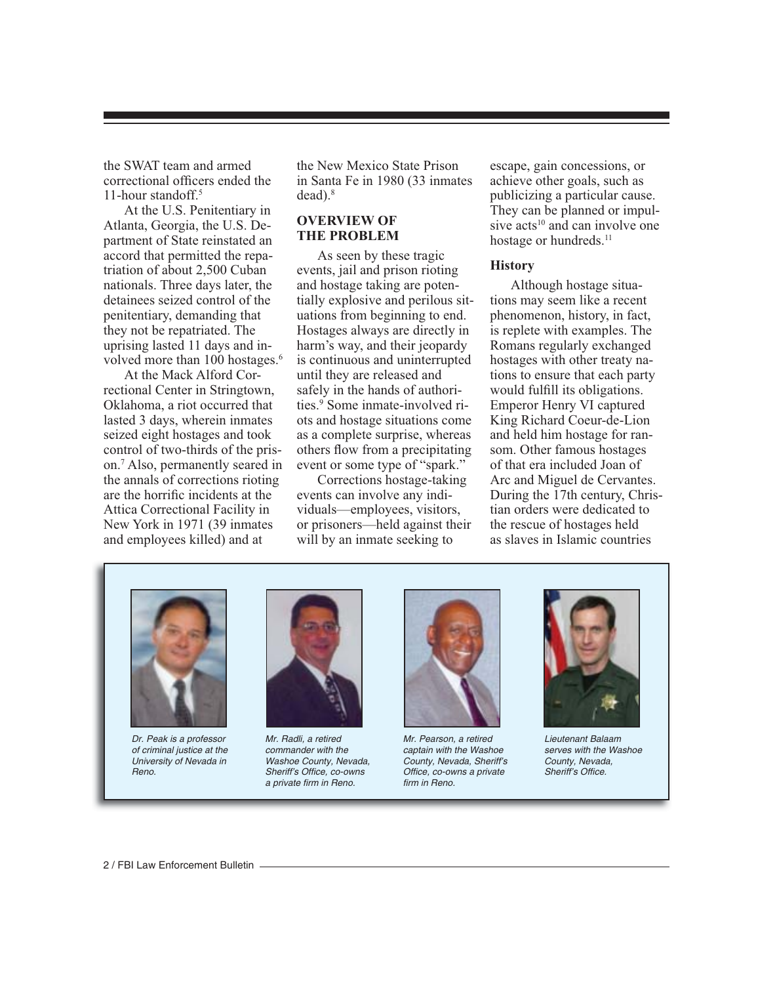the SWAT team and armed correctional officers ended the 11-hour standoff.<sup>5</sup>

At the U.S. Penitentiary in Atlanta, Georgia, the U.S. Department of State reinstated an accord that permitted the repatriation of about 2,500 Cuban nationals. Three days later, the detainees seized control of the penitentiary, demanding that they not be repatriated. The uprising lasted 11 days and involved more than 100 hostages.<sup>6</sup>

At the Mack Alford Correctional Center in Stringtown, Oklahoma, a riot occurred that lasted 3 days, wherein inmates seized eight hostages and took control of two-thirds of the prison.<sup>7</sup> Also, permanently seared in the annals of corrections rioting are the horrific incidents at the Attica Correctional Facility in New York in 1971 (39 inmates and employees killed) and at

the New Mexico State Prison in Santa Fe in 1980 (33 inmates dead).<sup>8</sup>

### **OVERVIEW OF THE PROBLEM**

As seen by these tragic events, jail and prison rioting and hostage taking are potentially explosive and perilous situations from beginning to end. Hostages always are directly in harm's way, and their jeopardy is continuous and uninterrupted until they are released and safely in the hands of authorities.<sup>9</sup> Some inmate-involved riots and hostage situations come as a complete surprise, whereas others flow from a precipitating event or some type of "spark."

Corrections hostage-taking events can involve any individuals—employees, visitors, or prisoners—held against their will by an inmate seeking to

escape, gain concessions, or achieve other goals, such as publicizing a particular cause. They can be planned or impulsive acts $10$  and can involve one hostage or hundreds.<sup>11</sup>

### **History**

Although hostage situations may seem like a recent phenomenon, history, in fact, is replete with examples. The Romans regularly exchanged hostages with other treaty nations to ensure that each party would fulfill its obligations. Emperor Henry VI captured King Richard Coeur-de-Lion and held him hostage for ransom. Other famous hostages of that era included Joan of Arc and Miguel de Cervantes. During the 17th century, Christian orders were dedicated to the rescue of hostages held as slaves in Islamic countries



Dr. Peak is a professor of criminal justice at the University of Nevada in Reno.



Mr. Radli, a retired commander with the Washoe County, Nevada, Sheriff's Office, co-owns a private firm in Reno.



Mr. Pearson, a retired captain with the Washoe County, Nevada, Sheriff's Office, co-owns a private firm in Reno.



Lieutenant Balaam serves with the Washoe County, Nevada, Sheriff's Office.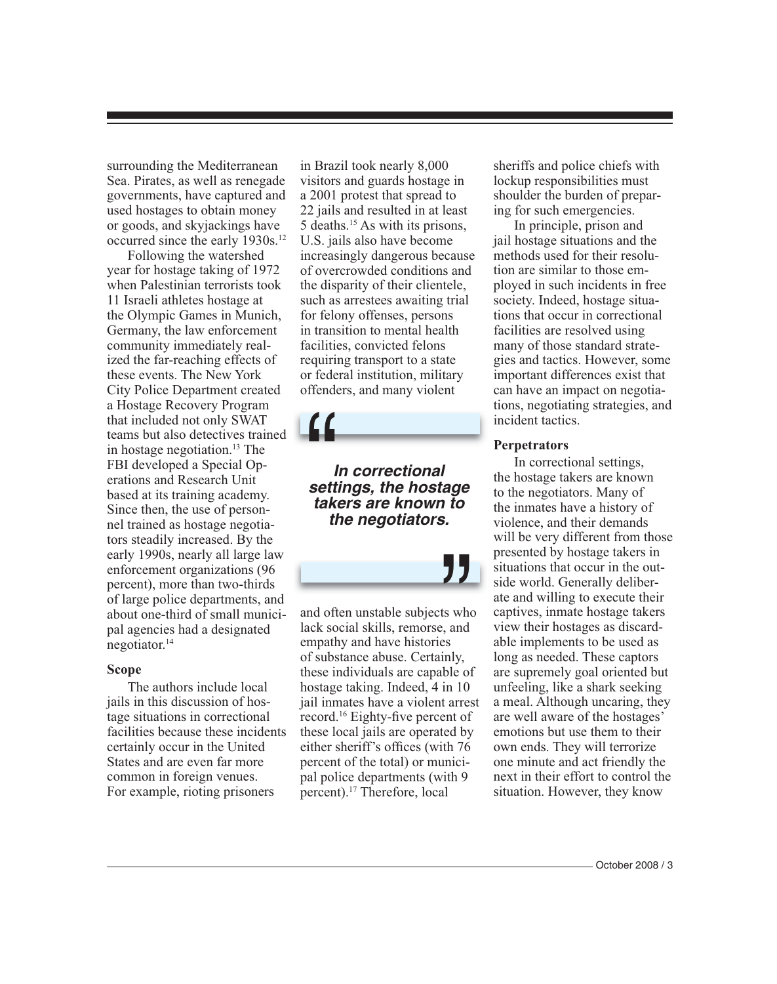surrounding the Mediterranean Sea. Pirates, as well as renegade governments, have captured and used hostages to obtain money or goods, and skyjackings have occurred since the early 1930s.<sup>12</sup>

Following the watershed year for hostage taking of 1972 when Palestinian terrorists took 11 Israeli athletes hostage at the Olympic Games in Munich, Germany, the law enforcement community immediately realized the far-reaching effects of these events. The New York City Police Department created a Hostage Recovery Program that included not only SWAT teams but also detectives trained in hostage negotiation.<sup>13</sup> The FBI developed a Special Operations and Research Unit based at its training academy. Since then, the use of personnel trained as hostage negotiators steadily increased. By the early 1990s, nearly all large law enforcement organizations (96 percent), more than two-thirds of large police departments, and about one-third of small municipal agencies had a designated negotiator.<sup>14</sup>

### **Scope**

The authors include local jails in this discussion of hostage situations in correctional facilities because these incidents certainly occur in the United States and are even far more common in foreign venues. For example, rioting prisoners

in Brazil took nearly 8,000 visitors and guards hostage in a 2001 protest that spread to 22 jails and resulted in at least 5 deaths.<sup>15</sup> As with its prisons, U.S. jails also have become increasingly dangerous because of overcrowded conditions and the disparity of their clientele, such as arrestees awaiting trial for felony offenses, persons in transition to mental health facilities, convicted felons requiring transport to a state or federal institution, military offenders, and many violent

## ffenders, and many violent<br> **settings**, the hostage **In correctional takers are known to the negotiators.**

### " and often unstable subjects who lack social skills, remorse, and empathy and have histories of substance abuse. Certainly, these individuals are capable of hostage taking. Indeed, 4 in 10 jail inmates have a violent arrest record.<sup>16</sup> Eighty-five percent of these local jails are operated by either sheriff's offices (with 76 percent of the total) or municipal police departments (with 9 percent).<sup>17</sup> Therefore, local

sheriffs and police chiefs with lockup responsibilities must shoulder the burden of preparing for such emergencies.

In principle, prison and jail hostage situations and the methods used for their resolution are similar to those employed in such incidents in free society. Indeed, hostage situations that occur in correctional facilities are resolved using many of those standard strategies and tactics. However, some important differences exist that can have an impact on negotiations, negotiating strategies, and incident tactics.

### **Perpetrators**

In correctional settings, the hostage takers are known to the negotiators. Many of the inmates have a history of violence, and their demands will be very different from those presented by hostage takers in situations that occur in the outside world. Generally deliberate and willing to execute their captives, inmate hostage takers view their hostages as discardable implements to be used as long as needed. These captors are supremely goal oriented but unfeeling, like a shark seeking a meal. Although uncaring, they are well aware of the hostages' emotions but use them to their own ends. They will terrorize one minute and act friendly the next in their effort to control the situation. However, they know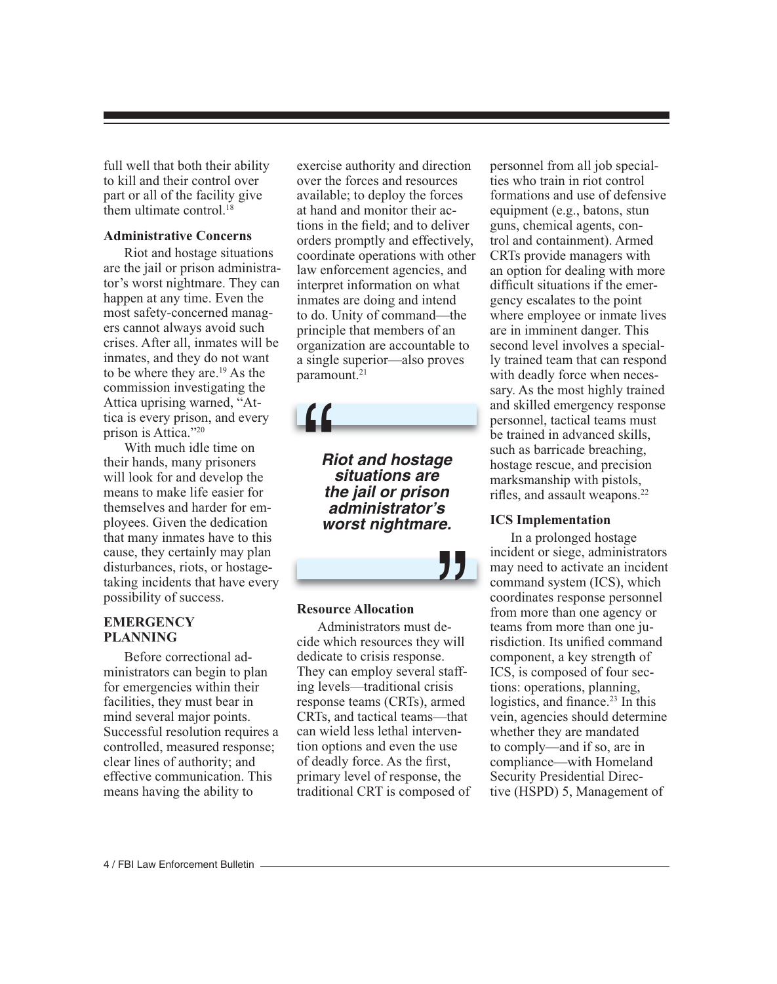full well that both their ability to kill and their control over part or all of the facility give them ultimate control<sup>18</sup>

### **Administrative Concerns**

Riot and hostage situations are the jail or prison administrator's worst nightmare. They can happen at any time. Even the most safety-concerned managers cannot always avoid such crises. After all, inmates will be inmates, and they do not want to be where they are.<sup>19</sup> As the commission investigating the Attica uprising warned, "Attica is every prison, and every prison is Attica."<sup>20</sup>

With much idle time on their hands, many prisoners will look for and develop the means to make life easier for themselves and harder for employees. Given the dedication that many inmates have to this cause, they certainly may plan disturbances, riots, or hostagetaking incidents that have every possibility of success.

### **EMERGENCY PLANNING**

Before correctional administrators can begin to plan for emergencies within their facilities, they must bear in mind several major points. Successful resolution requires a controlled, measured response; clear lines of authority; and effective communication. This means having the ability to

exercise authority and direction over the forces and resources available; to deploy the forces at hand and monitor their actions in the field; and to deliver orders promptly and effectively, coordinate operations with other law enforcement agencies, and interpret information on what inmates are doing and intend to do. Unity of command—the principle that members of an organization are accountable to a single superior—also proves paramount.<sup>21</sup>

# $\sum_{n=1}^{\infty}$

**Riot and hostage situations are the jail or prison administrator's worst nightmare.**

"

### **Resource Allocation**

Administrators must decide which resources they will dedicate to crisis response. They can employ several staffing levels—traditional crisis response teams (CRTs), armed CRTs, and tactical teams—that can wield less lethal intervention options and even the use of deadly force. As the first, primary level of response, the traditional CRT is composed of

personnel from all job specialties who train in riot control formations and use of defensive equipment (e.g., batons, stun guns, chemical agents, control and containment). Armed CRTs provide managers with an option for dealing with more difficult situations if the emergency escalates to the point where employee or inmate lives are in imminent danger. This second level involves a specially trained team that can respond with deadly force when necessary. As the most highly trained and skilled emergency response personnel, tactical teams must be trained in advanced skills, such as barricade breaching, hostage rescue, and precision marksmanship with pistols, rifles, and assault weapons.<sup>22</sup>

### **ICS Implementation**

In a prolonged hostage incident or siege, administrators may need to activate an incident command system (ICS), which coordinates response personnel from more than one agency or teams from more than one jurisdiction. Its unified command component, a key strength of ICS, is composed of four sections: operations, planning, logistics, and finance.<sup>23</sup> In this vein, agencies should determine whether they are mandated to comply—and if so, are in compliance—with Homeland Security Presidential Directive (HSPD) 5, Management of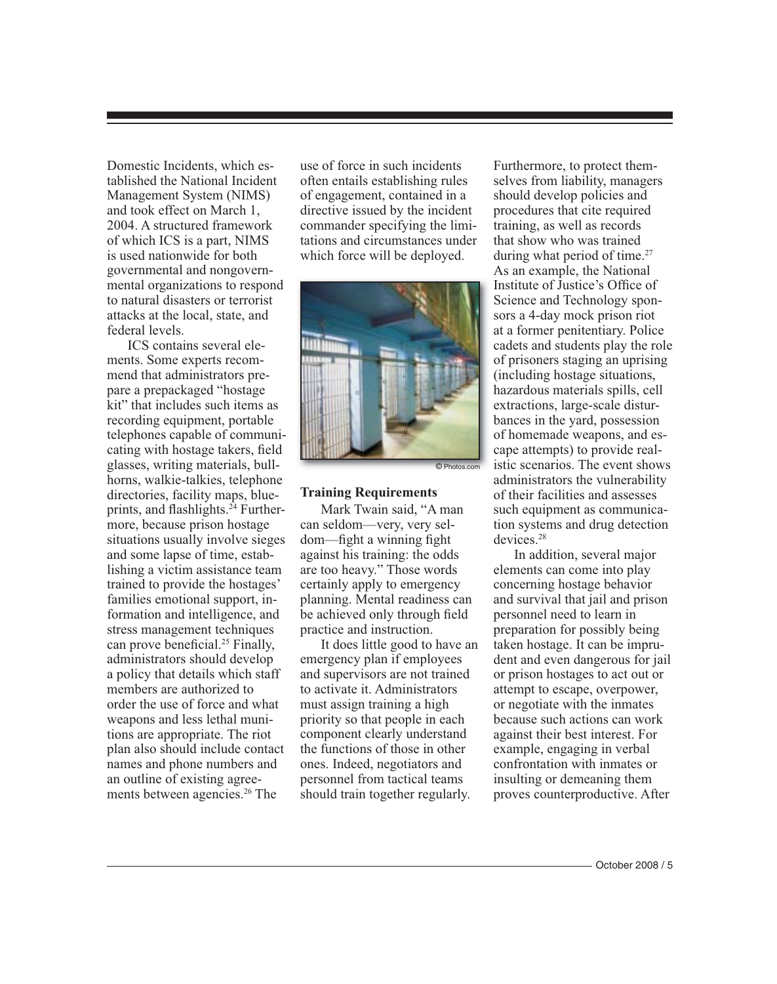Domestic Incidents, which established the National Incident Management System (NIMS) and took effect on March 1, 2004. A structured framework of which ICS is a part, NIMS is used nationwide for both governmental and nongovernmental organizations to respond to natural disasters or terrorist attacks at the local, state, and federal levels.

ICS contains several elements. Some experts recommend that administrators prepare a prepackaged "hostage kit" that includes such items as recording equipment, portable telephones capable of communicating with hostage takers, field glasses, writing materials, bullhorns, walkie-talkies, telephone directories, facility maps, blueprints, and flashlights.<sup>24</sup> Furthermore, because prison hostage situations usually involve sieges and some lapse of time, establishing a victim assistance team trained to provide the hostages' families emotional support, information and intelligence, and stress management techniques can prove beneficial.<sup>25</sup> Finally, administrators should develop a policy that details which staff members are authorized to order the use of force and what weapons and less lethal munitions are appropriate. The riot plan also should include contact names and phone numbers and an outline of existing agreements between agencies.<sup>26</sup> The

use of force in such incidents often entails establishing rules of engagement, contained in a directive issued by the incident commander specifying the limitations and circumstances under which force will be deployed.



#### © Photos.com

### **Training Requirements**

Mark Twain said, "A man can seldom—very, very seldom—fight a winning fight against his training: the odds are too heavy." Those words certainly apply to emergency planning. Mental readiness can be achieved only through field practice and instruction.

It does little good to have an emergency plan if employees and supervisors are not trained to activate it. Administrators must assign training a high priority so that people in each component clearly understand the functions of those in other ones. Indeed, negotiators and personnel from tactical teams should train together regularly.

Furthermore, to protect themselves from liability, managers should develop policies and procedures that cite required training, as well as records that show who was trained during what period of time.<sup>27</sup> As an example, the National Institute of Justice's Office of Science and Technology sponsors a 4-day mock prison riot at a former penitentiary. Police cadets and students play the role of prisoners staging an uprising (including hostage situations, hazardous materials spills, cell extractions, large-scale disturbances in the yard, possession of homemade weapons, and escape attempts) to provide realistic scenarios. The event shows administrators the vulnerability of their facilities and assesses such equipment as communication systems and drug detection devices.<sup>28</sup>

In addition, several major elements can come into play concerning hostage behavior and survival that jail and prison personnel need to learn in preparation for possibly being taken hostage. It can be imprudent and even dangerous for jail or prison hostages to act out or attempt to escape, overpower, or negotiate with the inmates because such actions can work against their best interest. For example, engaging in verbal confrontation with inmates or insulting or demeaning them proves counterproductive. After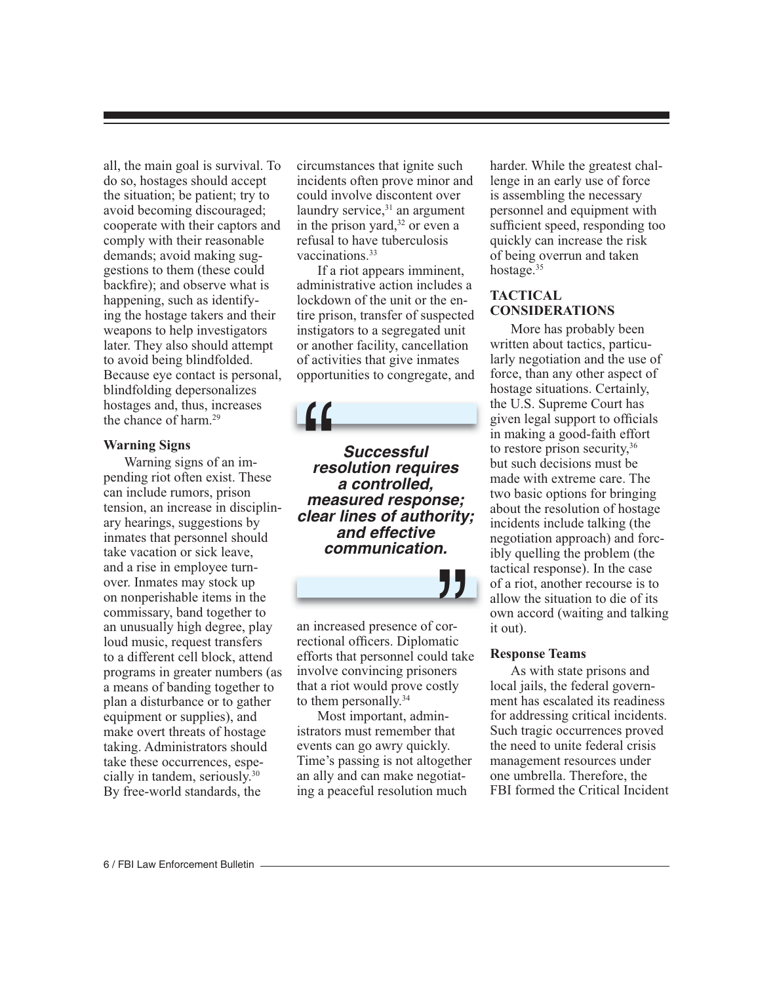all, the main goal is survival. To do so, hostages should accept the situation; be patient; try to avoid becoming discouraged; cooperate with their captors and comply with their reasonable demands; avoid making suggestions to them (these could backfire); and observe what is happening, such as identifying the hostage takers and their weapons to help investigators later. They also should attempt to avoid being blindfolded. Because eye contact is personal, blindfolding depersonalizes hostages and, thus, increases the chance of harm.<sup>29</sup>

### **Warning Signs**

Warning signs of an impending riot often exist. These can include rumors, prison tension, an increase in disciplinary hearings, suggestions by inmates that personnel should take vacation or sick leave, and a rise in employee turnover. Inmates may stock up on nonperishable items in the commissary, band together to an unusually high degree, play loud music, request transfers to a different cell block, attend programs in greater numbers (as a means of banding together to plan a disturbance or to gather equipment or supplies), and make overt threats of hostage taking. Administrators should take these occurrences, especially in tandem, seriously.<sup>30</sup> By free-world standards, the

circumstances that ignite such incidents often prove minor and could involve discontent over laundry service,<sup>31</sup> an argument in the prison yard, $32$  or even a refusal to have tuberculosis vaccinations.<sup>33</sup>

If a riot appears imminent, administrative action includes a lockdown of the unit or the entire prison, transfer of suspected instigators to a segregated unit or another facility, cancellation of activities that give inmates opportunities to congregate, and

pport<br>
f<br>
res **Successful resolution requires a controlled, measured response; clear lines of authority; and effective communication.**

an increased presence of correctional officers. Diplomatic efforts that personnel could take involve convincing prisoners that a riot would prove costly to them personally.<sup>34</sup>

"

Most important, administrators must remember that events can go awry quickly. Time's passing is not altogether an ally and can make negotiating a peaceful resolution much

harder. While the greatest challenge in an early use of force is assembling the necessary personnel and equipment with sufficient speed, responding too quickly can increase the risk of being overrun and taken hostage.<sup>35</sup>

### **TACTICAL CONSIDERATIONS**

More has probably been written about tactics, particularly negotiation and the use of force, than any other aspect of hostage situations. Certainly, the U.S. Supreme Court has given legal support to officials in making a good-faith effort to restore prison security,<sup>36</sup> but such decisions must be made with extreme care. The two basic options for bringing about the resolution of hostage incidents include talking (the negotiation approach) and forcibly quelling the problem (the tactical response). In the case of a riot, another recourse is to allow the situation to die of its own accord (waiting and talking it out).

### **Response Teams**

As with state prisons and local jails, the federal government has escalated its readiness for addressing critical incidents. Such tragic occurrences proved the need to unite federal crisis management resources under one umbrella. Therefore, the FBI formed the Critical Incident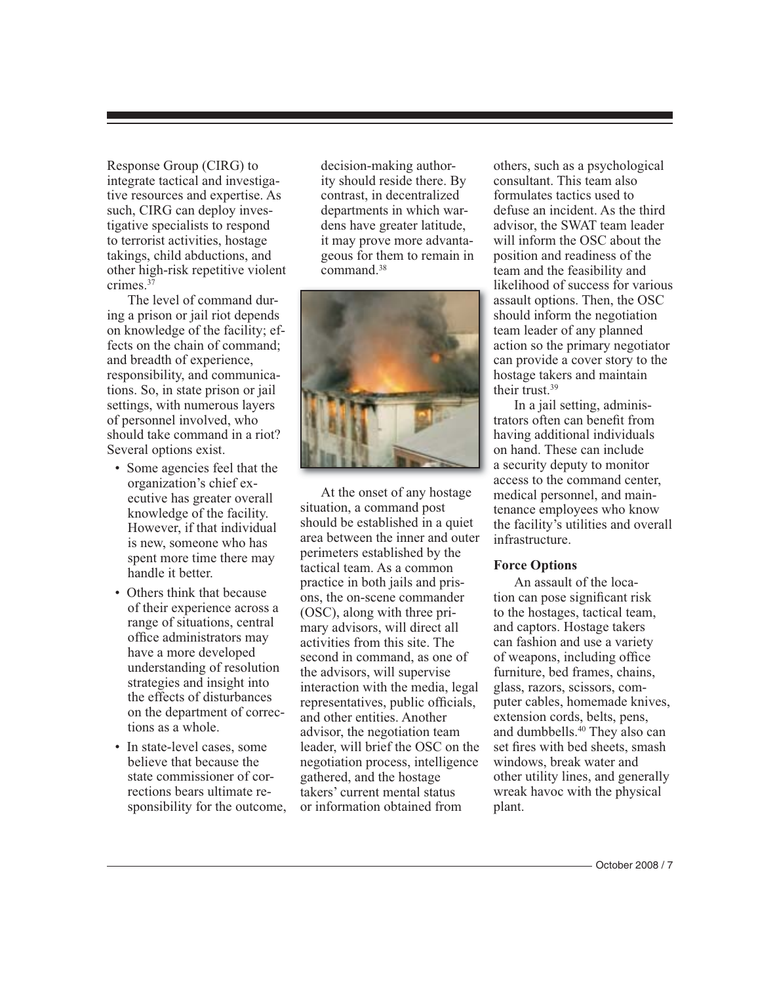Response Group (CIRG) to integrate tactical and investigative resources and expertise. As such, CIRG can deploy investigative specialists to respond to terrorist activities, hostage takings, child abductions, and other high-risk repetitive violent crimes.<sup>37</sup>

The level of command during a prison or jail riot depends on knowledge of the facility; effects on the chain of command; and breadth of experience, responsibility, and communications. So, in state prison or jail settings, with numerous layers of personnel involved, who should take command in a riot? Several options exist.

- Some agencies feel that the organization's chief executive has greater overall knowledge of the facility. However, if that individual is new, someone who has spent more time there may handle it better.
- Others think that because of their experience across a range of situations, central office administrators may have a more developed understanding of resolution strategies and insight into the effects of disturbances on the department of corrections as a whole.
- In state-level cases, some believe that because the state commissioner of corrections bears ultimate responsibility for the outcome,

decision-making authority should reside there. By contrast, in decentralized departments in which wardens have greater latitude, it may prove more advantageous for them to remain in command<sup>38</sup>



At the onset of any hostage situation, a command post should be established in a quiet area between the inner and outer perimeters established by the tactical team. As a common practice in both jails and prisons, the on-scene commander (OSC), along with three primary advisors, will direct all activities from this site. The second in command, as one of the advisors, will supervise interaction with the media, legal representatives, public officials, and other entities. Another advisor, the negotiation team leader, will brief the OSC on the negotiation process, intelligence gathered, and the hostage takers' current mental status or information obtained from

others, such as a psychological consultant. This team also formulates tactics used to defuse an incident. As the third advisor, the SWAT team leader will inform the OSC about the position and readiness of the team and the feasibility and likelihood of success for various assault options. Then, the OSC should inform the negotiation team leader of any planned action so the primary negotiator can provide a cover story to the hostage takers and maintain their trust.<sup>39</sup>

In a jail setting, administrators often can benefit from having additional individuals on hand. These can include a security deputy to monitor access to the command center, medical personnel, and maintenance employees who know the facility's utilities and overall infrastructure.

### **Force Options**

An assault of the location can pose significant risk to the hostages, tactical team, and captors. Hostage takers can fashion and use a variety of weapons, including office furniture, bed frames, chains, glass, razors, scissors, computer cables, homemade knives, extension cords, belts, pens, and dumbbells.<sup>40</sup> They also can set fires with bed sheets, smash windows, break water and other utility lines, and generally wreak havoc with the physical plant.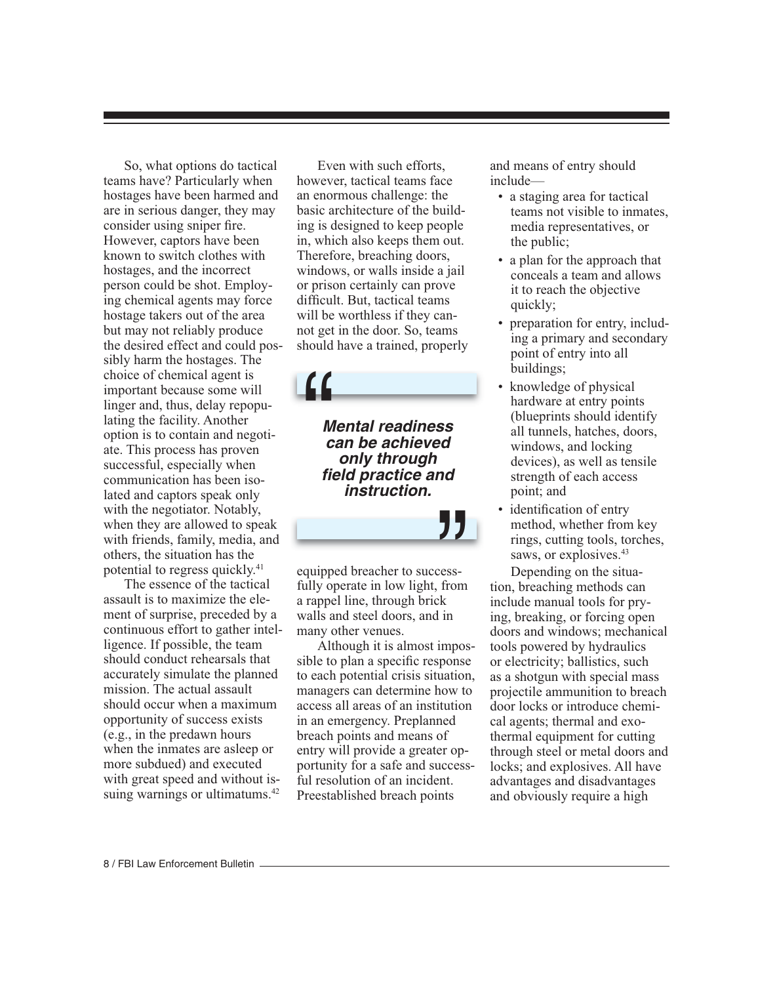So, what options do tactical teams have? Particularly when hostages have been harmed and are in serious danger, they may consider using sniper fire. However, captors have been known to switch clothes with hostages, and the incorrect person could be shot. Employing chemical agents may force hostage takers out of the area but may not reliably produce the desired effect and could possibly harm the hostages. The choice of chemical agent is important because some will linger and, thus, delay repopulating the facility. Another option is to contain and negotiate. This process has proven successful, especially when communication has been isolated and captors speak only with the negotiator. Notably, when they are allowed to speak with friends, family, media, and others, the situation has the potential to regress quickly.<sup>41</sup>

The essence of the tactical assault is to maximize the element of surprise, preceded by a continuous effort to gather intelligence. If possible, the team should conduct rehearsals that accurately simulate the planned mission. The actual assault should occur when a maximum opportunity of success exists (e.g., in the predawn hours when the inmates are asleep or more subdued) and executed with great speed and without issuing warnings or ultimatums.<sup>42</sup>

Even with such efforts, however, tactical teams face an enormous challenge: the basic architecture of the building is designed to keep people in, which also keeps them out. Therefore, breaching doors, windows, or walls inside a jail or prison certainly can prove difficult. But, tactical teams will be worthless if they cannot get in the door. So, teams should have a trained, properly

hould<br>
( **Mental readiness can be achieved only through fi eld practice and instruction.**

"<br>"<br>"Press-<br>from equipped breacher to successfully operate in low light, from a rappel line, through brick walls and steel doors, and in many other venues.

Although it is almost impossible to plan a specific response to each potential crisis situation, managers can determine how to access all areas of an institution in an emergency. Preplanned breach points and means of entry will provide a greater opportunity for a safe and successful resolution of an incident. Preestablished breach points

and means of entry should include—

- a staging area for tactical teams not visible to inmates, media representatives, or the public;
- a plan for the approach that conceals a team and allows it to reach the objective quickly;
- preparation for entry, including a primary and secondary point of entry into all buildings;
- knowledge of physical hardware at entry points (blueprints should identify all tunnels, hatches, doors, windows, and locking devices), as well as tensile strength of each access point; and
- identification of entry method, whether from key rings, cutting tools, torches, saws, or explosives.<sup>43</sup>

Depending on the situation, breaching methods can include manual tools for prying, breaking, or forcing open doors and windows; mechanical tools powered by hydraulics or electricity; ballistics, such as a shotgun with special mass projectile ammunition to breach door locks or introduce chemical agents; thermal and exothermal equipment for cutting through steel or metal doors and locks; and explosives. All have advantages and disadvantages and obviously require a high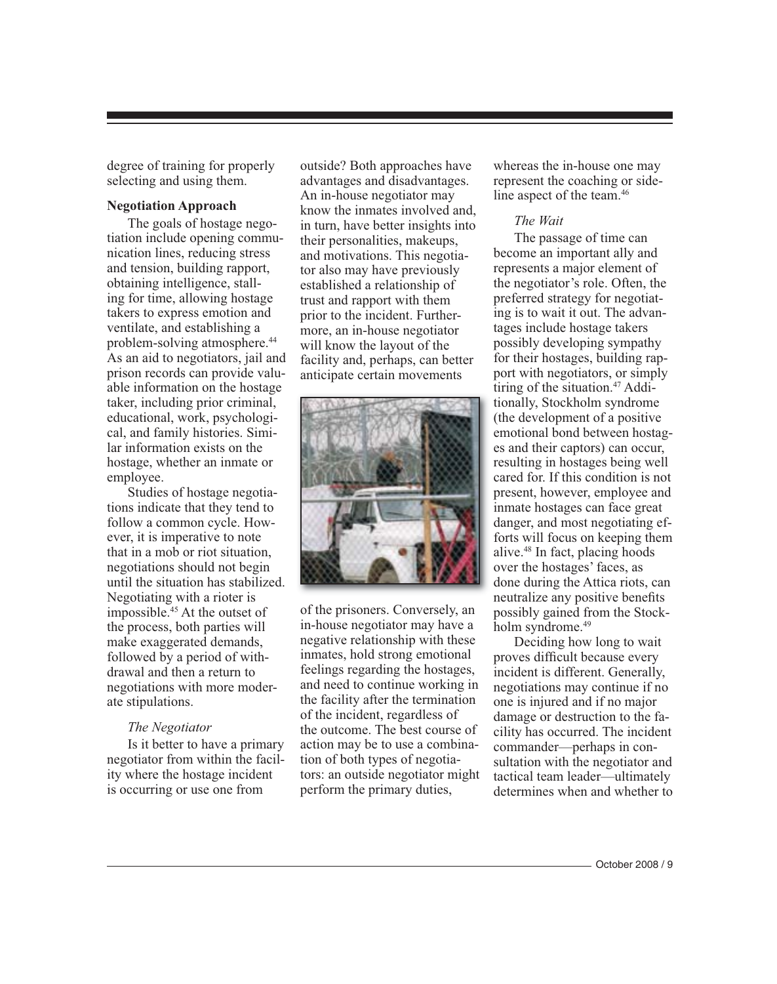degree of training for properly selecting and using them.

### **Negotiation Approach**

The goals of hostage negotiation include opening communication lines, reducing stress and tension, building rapport, obtaining intelligence, stalling for time, allowing hostage takers to express emotion and ventilate, and establishing a problem-solving atmosphere.<sup>44</sup> As an aid to negotiators, jail and prison records can provide valuable information on the hostage taker, including prior criminal, educational, work, psychological, and family histories. Similar information exists on the hostage, whether an inmate or employee.

Studies of hostage negotiations indicate that they tend to follow a common cycle. However, it is imperative to note that in a mob or riot situation, negotiations should not begin until the situation has stabilized. Negotiating with a rioter is impossible.<sup>45</sup> At the outset of the process, both parties will make exaggerated demands, followed by a period of withdrawal and then a return to negotiations with more moderate stipulations.

### *The Negotiator*

Is it better to have a primary negotiator from within the facility where the hostage incident is occurring or use one from

outside? Both approaches have advantages and disadvantages. An in-house negotiator may know the inmates involved and, in turn, have better insights into their personalities, makeups, and motivations. This negotiator also may have previously established a relationship of trust and rapport with them prior to the incident. Furthermore, an in-house negotiator will know the layout of the facility and, perhaps, can better anticipate certain movements



of the prisoners. Conversely, an in-house negotiator may have a negative relationship with these inmates, hold strong emotional feelings regarding the hostages, and need to continue working in the facility after the termination of the incident, regardless of the outcome. The best course of action may be to use a combination of both types of negotiators: an outside negotiator might perform the primary duties,

whereas the in-house one may represent the coaching or sideline aspect of the team.<sup>46</sup>

### *The Wait*

The passage of time can become an important ally and represents a major element of the negotiator's role. Often, the preferred strategy for negotiating is to wait it out. The advantages include hostage takers possibly developing sympathy for their hostages, building rapport with negotiators, or simply tiring of the situation. $47$  Additionally, Stockholm syndrome (the development of a positive emotional bond between hostages and their captors) can occur, resulting in hostages being well cared for. If this condition is not present, however, employee and inmate hostages can face great danger, and most negotiating efforts will focus on keeping them alive.<sup>48</sup> In fact, placing hoods over the hostages' faces, as done during the Attica riots, can neutralize any positive benefits possibly gained from the Stockholm syndrome.<sup>49</sup>

Deciding how long to wait proves difficult because every incident is different. Generally, negotiations may continue if no one is injured and if no major damage or destruction to the facility has occurred. The incident commander—perhaps in consultation with the negotiator and tactical team leader—ultimately determines when and whether to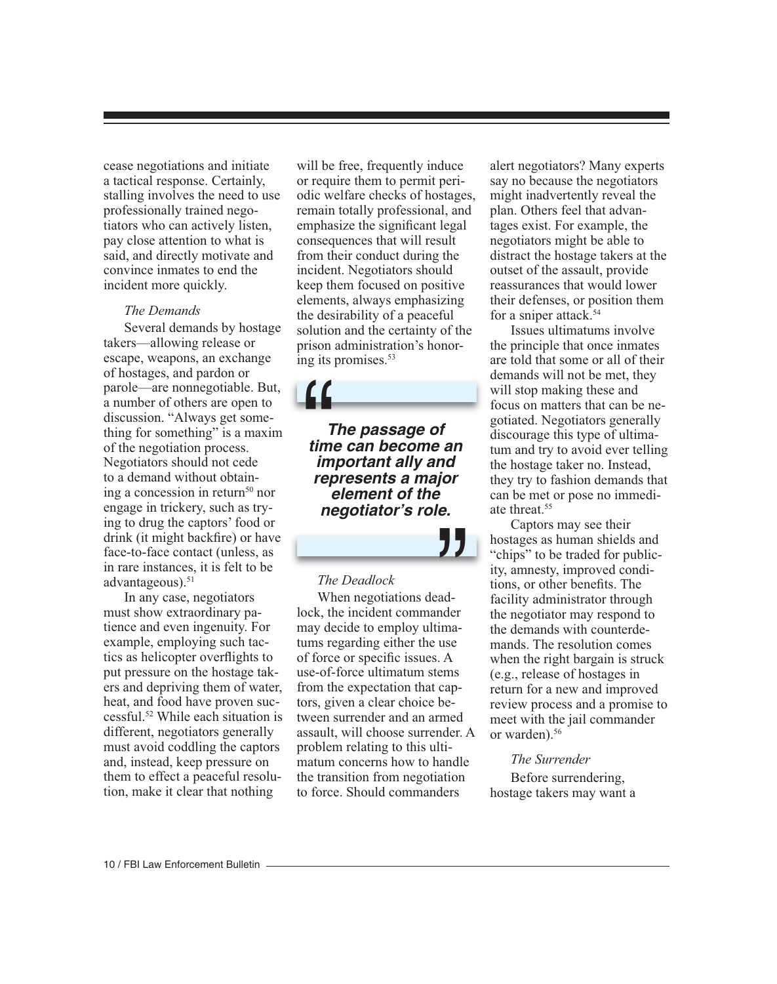cease negotiations and initiate a tactical response. Certainly, stalling involves the need to use professionally trained negotiators who can actively listen, pay close attention to what is said, and directly motivate and convince inmates to end the incident more quickly.

### *The Demands*

Several demands by hostage takers—allowing release or escape, weapons, an exchange of hostages, and pardon or parole—are nonnegotiable. But, a number of others are open to discussion. "Always get something for something" is a maxim of the negotiation process. Negotiators should not cede to a demand without obtaining a concession in return<sup>50</sup> nor engage in trickery, such as trying to drug the captors' food or drink (it might backfire) or have face-to-face contact (unless, as in rare instances, it is felt to be advantageous). $51$ 

In any case, negotiators must show extraordinary patience and even ingenuity. For example, employing such tactics as helicopter overflights to put pressure on the hostage takers and depriving them of water, heat, and food have proven successful.<sup>52</sup> While each situation is different, negotiators generally must avoid coddling the captors and, instead, keep pressure on them to effect a peaceful resolution, make it clear that nothing

will be free, frequently induce or require them to permit periodic welfare checks of hostages, remain totally professional, and emphasize the significant legal consequences that will result from their conduct during the incident. Negotiators should keep them focused on positive elements, always emphasizing the desirability of a peaceful solution and the certainty of the prison administration's honor-

Frisch duministers<br>
ing its promises.<sup>53</sup><br>
The pass<br>
time can be<br>
important **The passage of time can become an important ally and represents a major element of the negotiator's role.**

"

### *The Deadlock*

When negotiations deadlock, the incident commander may decide to employ ultimatums regarding either the use of force or specific issues. A use-of-force ultimatum stems from the expectation that captors, given a clear choice between surrender and an armed assault, will choose surrender. A problem relating to this ultimatum concerns how to handle the transition from negotiation to force. Should commanders

alert negotiators? Many experts say no because the negotiators might inadvertently reveal the plan. Others feel that advantages exist. For example, the negotiators might be able to distract the hostage takers at the outset of the assault, provide reassurances that would lower their defenses, or position them for a sniper attack.<sup>54</sup>

Issues ultimatums involve the principle that once inmates are told that some or all of their demands will not be met, they will stop making these and focus on matters that can be negotiated. Negotiators generally discourage this type of ultimatum and try to avoid ever telling the hostage taker no. Instead, they try to fashion demands that can be met or pose no immediate threat.<sup>55</sup>

Captors may see their hostages as human shields and "chips" to be traded for publicity, amnesty, improved conditions, or other benefits. The facility administrator through the negotiator may respond to the demands with counterdemands. The resolution comes when the right bargain is struck (e.g., release of hostages in return for a new and improved review process and a promise to meet with the jail commander or warden).<sup>56</sup>

#### *The Surrender*

Before surrendering, hostage takers may want a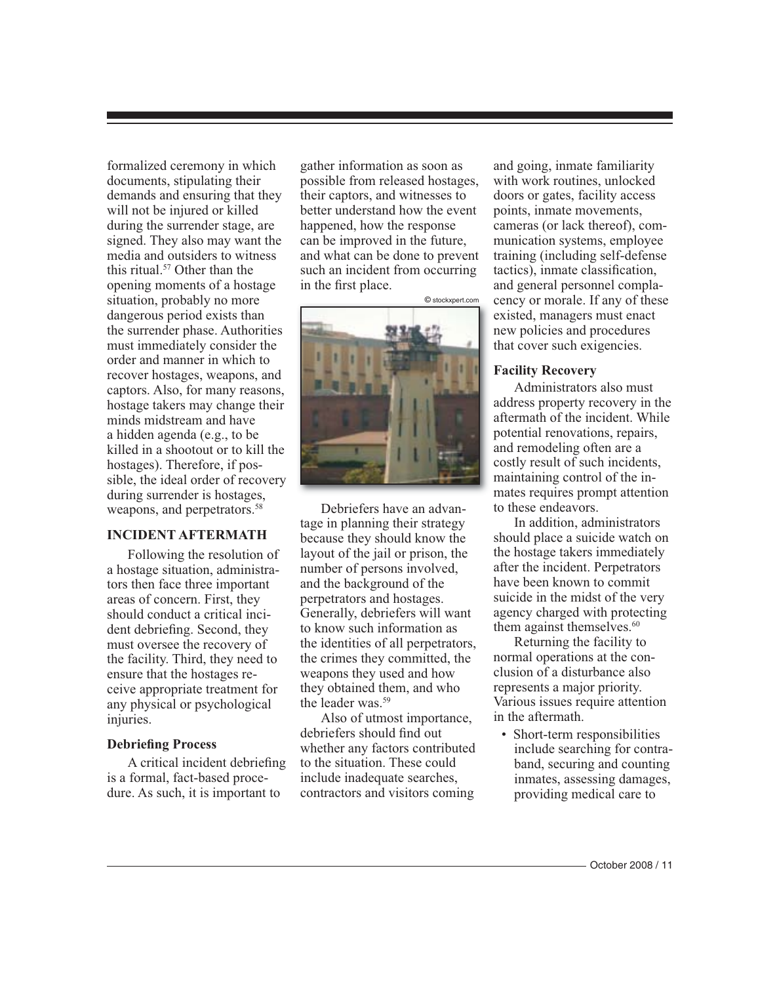formalized ceremony in which documents, stipulating their demands and ensuring that they will not be injured or killed during the surrender stage, are signed. They also may want the media and outsiders to witness this ritual.<sup>57</sup> Other than the opening moments of a hostage situation, probably no more dangerous period exists than the surrender phase. Authorities must immediately consider the order and manner in which to recover hostages, weapons, and captors. Also, for many reasons, hostage takers may change their minds midstream and have a hidden agenda (e.g., to be killed in a shootout or to kill the hostages). Therefore, if possible, the ideal order of recovery during surrender is hostages, weapons, and perpetrators.<sup>58</sup>

### **INCIDENT AFTERMATH**

Following the resolution of a hostage situation, administrators then face three important areas of concern. First, they should conduct a critical incident debriefing. Second, they must oversee the recovery of the facility. Third, they need to ensure that the hostages receive appropriate treatment for any physical or psychological injuries.

### **Debriefing Process**

A critical incident debriefing is a formal, fact-based procedure. As such, it is important to

gather information as soon as possible from released hostages, their captors, and witnesses to better understand how the event happened, how the response can be improved in the future, and what can be done to prevent such an incident from occurring in the first place.



Debriefers have an advantage in planning their strategy because they should know the layout of the jail or prison, the number of persons involved, and the background of the perpetrators and hostages. Generally, debriefers will want to know such information as the identities of all perpetrators, the crimes they committed, the weapons they used and how they obtained them, and who the leader was.<sup>59</sup>

Also of utmost importance, debriefers should find out whether any factors contributed to the situation. These could include inadequate searches, contractors and visitors coming

and going, inmate familiarity with work routines, unlocked doors or gates, facility access points, inmate movements, cameras (or lack thereof), communication systems, employee training (including self-defense tactics), inmate classification, and general personnel complacency or morale. If any of these existed, managers must enact new policies and procedures that cover such exigencies.

### **Facility Recovery**

Administrators also must address property recovery in the aftermath of the incident. While potential renovations, repairs, and remodeling often are a costly result of such incidents, maintaining control of the inmates requires prompt attention to these endeavors.

In addition, administrators should place a suicide watch on the hostage takers immediately after the incident. Perpetrators have been known to commit suicide in the midst of the very agency charged with protecting them against themselves.<sup>60</sup>

Returning the facility to normal operations at the conclusion of a disturbance also represents a major priority. Various issues require attention in the aftermath.

• Short-term responsibilities include searching for contraband, securing and counting inmates, assessing damages, providing medical care to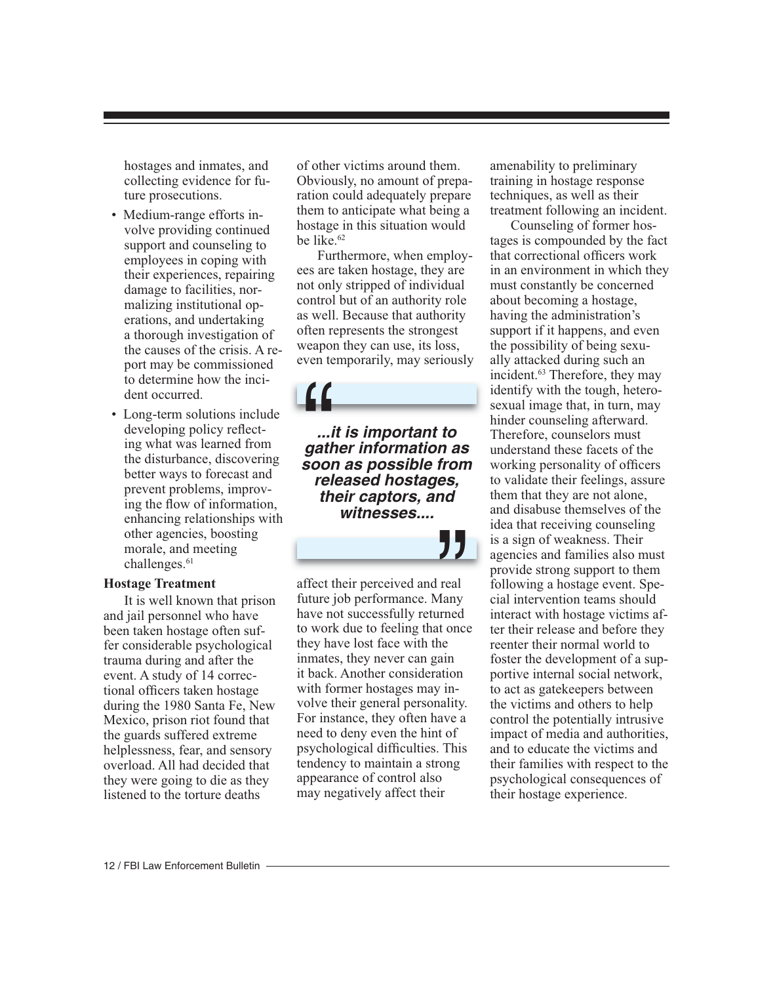hostages and inmates, and collecting evidence for future prosecutions.

- Medium-range efforts involve providing continued support and counseling to employees in coping with their experiences, repairing damage to facilities, normalizing institutional operations, and undertaking a thorough investigation of the causes of the crisis. A report may be commissioned to determine how the incident occurred.
- Long-term solutions include developing policy reflecting what was learned from the disturbance, discovering better ways to forecast and prevent problems, improving the flow of information, enhancing relationships with other agencies, boosting morale, and meeting challenges.<sup>61</sup>

### **Hostage Treatment**

It is well known that prison and jail personnel who have been taken hostage often suffer considerable psychological trauma during and after the event. A study of 14 correctional officers taken hostage during the 1980 Santa Fe, New Mexico, prison riot found that the guards suffered extreme helplessness, fear, and sensory overload. All had decided that they were going to die as they listened to the torture deaths

of other victims around them. Obviously, no amount of preparation could adequately prepare them to anticipate what being a hostage in this situation would be like.<sup>62</sup>

Furthermore, when employees are taken hostage, they are not only stripped of individual control but of an authority role as well. Because that authority often represents the strongest weapon they can use, its loss, even temporarily, may seriously

ven temporarily, may seriously<br> **formation as<br>
gather information as**<br>
soon as nossible from **...it is important to soon as possible from released hostages, their captors, and witnesses....**

"

affect their perceived and real future job performance. Many have not successfully returned to work due to feeling that once they have lost face with the inmates, they never can gain it back. Another consideration with former hostages may involve their general personality. For instance, they often have a need to deny even the hint of psychological difficulties. This tendency to maintain a strong appearance of control also may negatively affect their

amenability to preliminary training in hostage response techniques, as well as their treatment following an incident.

Counseling of former hostages is compounded by the fact that correctional officers work in an environment in which they must constantly be concerned about becoming a hostage, having the administration's support if it happens, and even the possibility of being sexually attacked during such an incident.<sup>63</sup> Therefore, they may identify with the tough, heterosexual image that, in turn, may hinder counseling afterward. Therefore, counselors must understand these facets of the working personality of officers to validate their feelings, assure them that they are not alone, and disabuse themselves of the idea that receiving counseling is a sign of weakness. Their agencies and families also must provide strong support to them following a hostage event. Special intervention teams should interact with hostage victims after their release and before they reenter their normal world to foster the development of a supportive internal social network, to act as gatekeepers between the victims and others to help control the potentially intrusive impact of media and authorities, and to educate the victims and their families with respect to the psychological consequences of their hostage experience.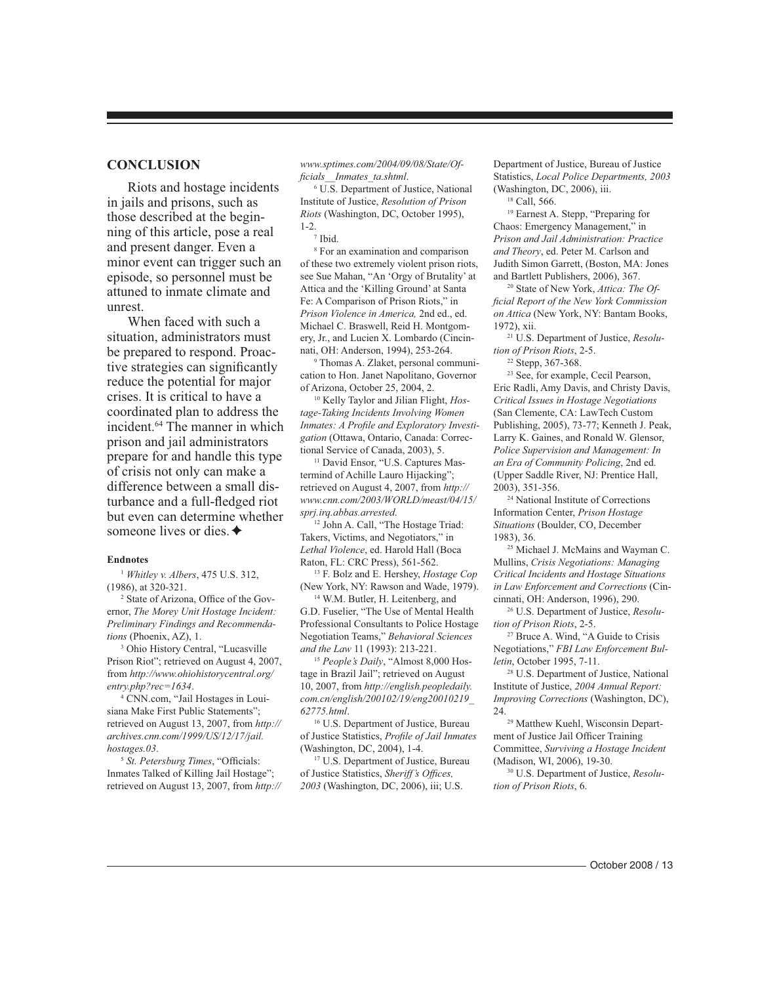### **CONCLUSION**

Riots and hostage incidents in jails and prisons, such as those described at the beginning of this article, pose a real and present danger. Even a minor event can trigger such an episode, so personnel must be attuned to inmate climate and unrest.

When faced with such a situation, administrators must be prepared to respond. Proactive strategies can significantly reduce the potential for major crises. It is critical to have a coordinated plan to address the incident.<sup>64</sup> The manner in which prison and jail administrators prepare for and handle this type of crisis not only can make a difference between a small disturbance and a full-fledged riot but even can determine whether someone lives or dies.

#### **Endnotes**

<sup>1</sup> *Whitley v. Albers*, 475 U.S. 312, (1986), at 320-321.

<sup>2</sup> State of Arizona, Office of the Governor, *The Morey Unit Hostage Incident: Preliminary Findings and Recommendations* (Phoenix, AZ), 1.

3 Ohio History Central, "Lucasville Prison Riot"; retrieved on August 4, 2007, from *http://www.ohiohistorycentral.org/ entry.php?rec=1634*.

4 CNN.com, "Jail Hostages in Louisiana Make First Public Statements"; retrieved on August 13, 2007, from *http:// archives.cnn.com/1999/US/12/17/jail. hostages.03*.

<sup>5</sup> *St. Petersburg Times*, "Officials: Inmates Talked of Killing Jail Hostage"; retrieved on August 13, 2007, from *http://*

*www.sptimes.com/2004/09/08/State/Offi cials\_\_Inmates\_ta.shtml*.

6 U.S. Department of Justice, National Institute of Justice, *Resolution of Prison Riots* (Washington, DC, October 1995), 1-2.

7 Ibid.

8 For an examination and comparison of these two extremely violent prison riots, see Sue Mahan, "An 'Orgy of Brutality' at Attica and the 'Killing Ground' at Santa Fe: A Comparison of Prison Riots," in *Prison Violence in America,* 2nd ed., ed. Michael C. Braswell, Reid H. Montgomery, Jr., and Lucien X. Lombardo (Cincinnati, OH: Anderson, 1994), 253-264.

9 Thomas A. Zlaket, personal communication to Hon. Janet Napolitano, Governor of Arizona, October 25, 2004, 2.

10 Kelly Taylor and Jilian Flight, *Hostage-Taking Incidents Involving Women*  Inmates: A Profile and Exploratory Investi*gation* (Ottawa, Ontario, Canada: Correctional Service of Canada, 2003), 5.

<sup>11</sup> David Ensor, "U.S. Captures Mastermind of Achille Lauro Hijacking"; retrieved on August 4, 2007, from *http:// www.cnn.com/2003/WORLD/meast/04/15/ sprj.irq.abbas.arrested*.

<sup>12</sup> John A. Call, "The Hostage Triad: Takers, Victims, and Negotiators," in *Lethal Violence*, ed. Harold Hall (Boca Raton, FL: CRC Press), 561-562.

<sup>13</sup> F. Bolz and E. Hershey, *Hostage Cop* (New York, NY: Rawson and Wade, 1979).

<sup>14</sup> W.M. Butler, H. Leitenberg, and G.D. Fuselier, "The Use of Mental Health Professional Consultants to Police Hostage Negotiation Teams," *Behavioral Sciences and the Law* 11 (1993): 213-221.

<sup>15</sup> *People's Daily*, "Almost 8,000 Hostage in Brazil Jail"; retrieved on August 10, 2007, from *http://english.peopledaily. com.cn/english/200102/19/eng20010219\_ 62775.html*.

<sup>16</sup> U.S. Department of Justice, Bureau of Justice Statistics, Profile of Jail Inmates (Washington, DC, 2004), 1-4.

<sup>17</sup> U.S. Department of Justice, Bureau of Justice Statistics, *Sheriff's Offices*, *2003* (Washington, DC, 2006), iii; U.S.

Department of Justice, Bureau of Justice Statistics, *Local Police Departments, 2003* (Washington, DC, 2006), iii.

<sup>18</sup> Call, 566.

<sup>19</sup> Earnest A. Stepp, "Preparing for Chaos: Emergency Management," in *Prison and Jail Administration: Practice and Theory*, ed. Peter M. Carlson and Judith Simon Garrett, (Boston, MA: Jones and Bartlett Publishers, 2006), 367.

20 State of New York, *Attica: The Offi cial Report of the New York Commission on Attica* (New York, NY: Bantam Books, 1972), xii.

21 U.S. Department of Justice, *Resolution of Prison Riots*, 2-5.

<sup>22</sup> Stepp, 367-368.

<sup>23</sup> See, for example, Cecil Pearson, Eric Radli, Amy Davis, and Christy Davis, *Critical Issues in Hostage Negotiations* (San Clemente, CA: LawTech Custom Publishing, 2005), 73-77; Kenneth J. Peak, Larry K. Gaines, and Ronald W. Glensor, *Police Supervision and Management: In an Era of Community Policing*, 2nd ed. (Upper Saddle River, NJ: Prentice Hall, 2003), 351-356.

<sup>24</sup> National Institute of Corrections Information Center, *Prison Hostage Situations* (Boulder, CO, December 1983), 36.

<sup>25</sup> Michael J. McMains and Wayman C. Mullins, *Crisis Negotiations: Managing Critical Incidents and Hostage Situations in Law Enforcement and Corrections* (Cincinnati, OH: Anderson, 1996), 290.

26 U.S. Department of Justice, *Resolution of Prison Riots*, 2-5.

<sup>27</sup> Bruce A. Wind, "A Guide to Crisis Negotiations," *FBI Law Enforcement Bulletin*, October 1995, 7-11.

<sup>28</sup> U.S. Department of Justice, National Institute of Justice, *2004 Annual Report: Improving Corrections* (Washington, DC), 24.

29 Matthew Kuehl, Wisconsin Department of Justice Jail Officer Training Committee, *Surviving a Hostage Incident* (Madison, WI, 2006), 19-30.

30 U.S. Department of Justice, *Resolution of Prison Riots*, 6.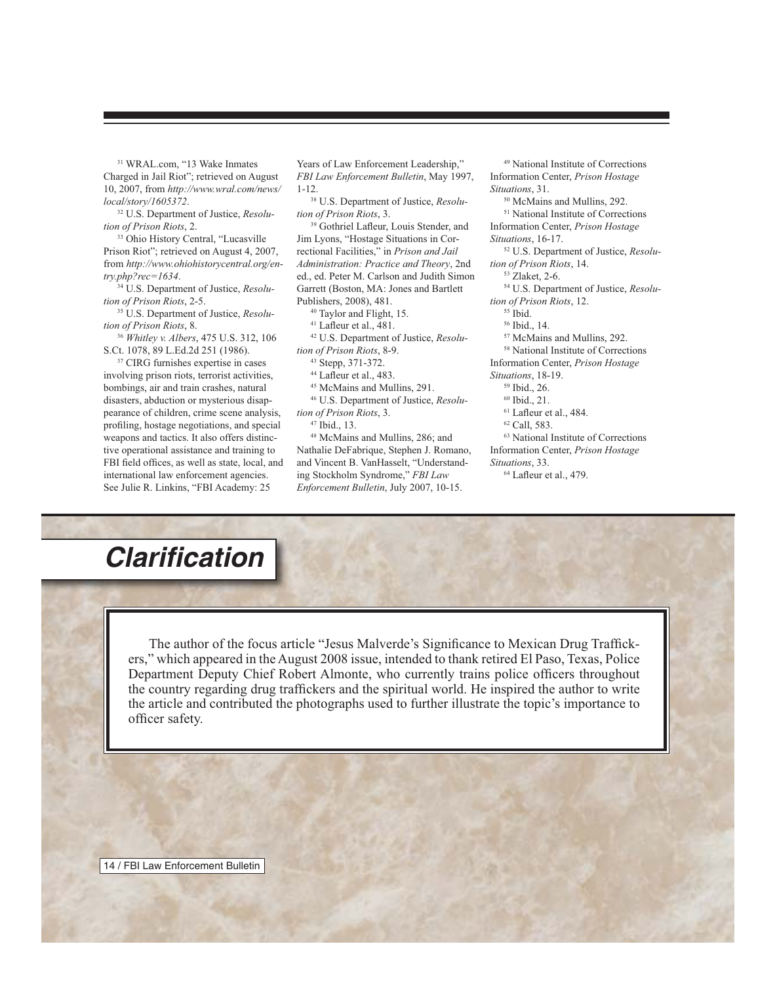<sup>31</sup> WRAL.com, "13 Wake Inmates Charged in Jail Riot"; retrieved on August 10, 2007, from *http://www.wral.com/news/ local/story/1605372*.

<sup>32</sup> U.S. Department of Justice, *Resolution of Prison Riots*, 2.

<sup>33</sup> Ohio History Central, "Lucasville Prison Riot"; retrieved on August 4, 2007, from *http://www.ohiohistorycentral.org/entry.php?rec=1634*.

<sup>34</sup> U.S. Department of Justice, *Resolution of Prison Riots*, 2-5.

<sup>35</sup> U.S. Department of Justice, *Resolution of Prison Riots*, 8.

<sup>36</sup> *Whitley v. Albers*, 475 U.S. 312, 106 S.Ct. 1078, 89 L.Ed.2d 251 (1986).

<sup>37</sup> CIRG furnishes expertise in cases involving prison riots, terrorist activities, bombings, air and train crashes, natural disasters, abduction or mysterious disappearance of children, crime scene analysis, profiling, hostage negotiations, and special weapons and tactics. It also offers distinctive operational assistance and training to FBI field offices, as well as state, local, and international law enforcement agencies. See Julie R. Linkins, "FBI Academy: 25

Years of Law Enforcement Leadership," *FBI Law Enforcement Bulletin*, May 1997, 1-12.

<sup>38</sup> U.S. Department of Justice, *Resolution of Prison Riots*, 3.

<sup>39</sup> Gothriel Lafleur, Louis Stender, and Jim Lyons, "Hostage Situations in Correctional Facilities," in *Prison and Jail Administration: Practice and Theory*, 2nd ed., ed. Peter M. Carlson and Judith Simon Garrett (Boston, MA: Jones and Bartlett Publishers, 2008), 481.

<sup>40</sup> Taylor and Flight, 15.

 $41$  Lafleur et al., 481.

<sup>42</sup> U.S. Department of Justice, *Resolution of Prison Riots*, 8-9.

<sup>43</sup> Stepp, 371-372.

 $44$  Lafleur et al., 483.

<sup>45</sup> McMains and Mullins, 291.

<sup>46</sup> U.S. Department of Justice, *Resolution of Prison Riots*, 3.

<sup>47</sup> Ibid., 13.

<sup>48</sup> McMains and Mullins, 286; and Nathalie DeFabrique, Stephen J. Romano, and Vincent B. VanHasselt, "Understanding Stockholm Syndrome," *FBI Law Enforcement Bulletin*, July 2007, 10-15.

<sup>49</sup> National Institute of Corrections Information Center, *Prison Hostage Situations*, 31. <sup>50</sup> McMains and Mullins, 292. <sup>51</sup> National Institute of Corrections Information Center, *Prison Hostage Situations*, 16-17. <sup>52</sup> U.S. Department of Justice, *Resolution of Prison Riots*, 14. <sup>53</sup> Zlaket, 2-6. <sup>54</sup> U.S. Department of Justice, *Resolution of Prison Riots*, 12. <sup>55</sup> Ibid. <sup>56</sup> Ibid., 14. <sup>57</sup> McMains and Mullins, 292. <sup>58</sup> National Institute of Corrections Information Center, *Prison Hostage Situations*, 18-19. <sup>59</sup> Ibid., 26. <sup>60</sup> Ibid., 21.  $61$  Lafleur et al., 484. <sup>62</sup> Call, 583. <sup>63</sup> National Institute of Corrections Information Center, *Prison Hostage Situations*, 33.  $64$  Lafleur et al., 479.

### **Clarifi cation**

The author of the focus article "Jesus Malverde's Significance to Mexican Drug Traffickers," which appeared in the August 2008 issue, intended to thank retired El Paso, Texas, Police Department Deputy Chief Robert Almonte, who currently trains police officers throughout the country regarding drug traffickers and the spiritual world. He inspired the author to write the article and contributed the photographs used to further illustrate the topic's importance to officer safety.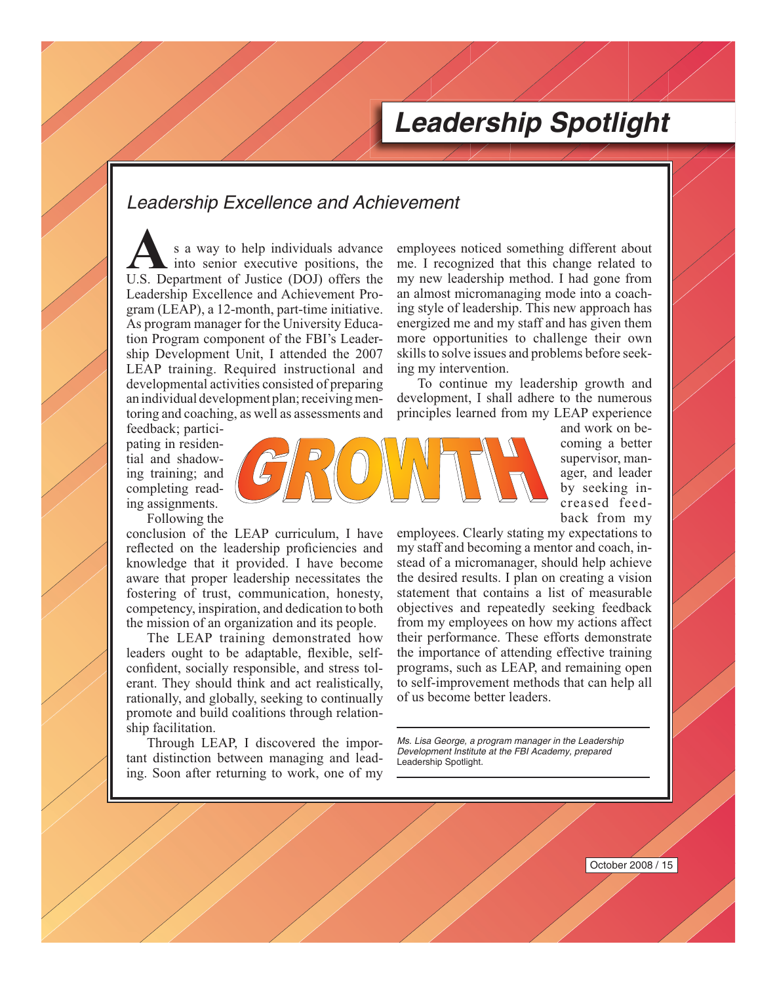### **Leadership Spotlight**

### Leadership Excellence and Achievement

s a way to help individuals advance<br>into senior executive positions, the<br>U.S. Department of Justice (DOJ) offers the into senior executive positions, the Leadership Excellence and Achievement Program (LEAP), a 12-month, part-time initiative. As program manager for the University Education Program component of the FBI's Leadership Development Unit, I attended the 2007 LEAP training. Required instructional and developmental activities consisted of preparing an individual development plan; receiving mentoring and coaching, as well as assessments and

employees noticed something different about me. I recognized that this change related to my new leadership method. I had gone from an almost micromanaging mode into a coaching style of leadership. This new approach has energized me and my staff and has given them more opportunities to challenge their own skills to solve issues and problems before seeking my intervention.

To continue my leadership growth and development, I shall adhere to the numerous principles learned from my LEAP experience

feedback; participating in residential and shadowing training; and completing reading assignments.

Following the

conclusion of the LEAP curriculum, I have reflected on the leadership proficiencies and knowledge that it provided. I have become aware that proper leadership necessitates the fostering of trust, communication, honesty, competency, inspiration, and dedication to both the mission of an organization and its people.

The LEAP training demonstrated how leaders ought to be adaptable, flexible, selfconfident, socially responsible, and stress tolerant. They should think and act realistically, rationally, and globally, seeking to continually promote and build coalitions through relationship facilitation.

Through LEAP, I discovered the important distinction between managing and leading. Soon after returning to work, one of my and work on becoming a better supervisor, manager, and leader by seeking increased feedback from my

employees. Clearly stating my expectations to my staff and becoming a mentor and coach, instead of a micromanager, should help achieve the desired results. I plan on creating a vision statement that contains a list of measurable objectives and repeatedly seeking feedback from my employees on how my actions affect their performance. These efforts demonstrate the importance of attending effective training programs, such as LEAP, and remaining open to self-improvement methods that can help all of us become better leaders.

Ms. Lisa George, a program manager in the Leadership Development Institute at the FBI Academy, prepared Leadership Spotlight.



October 2008 / 15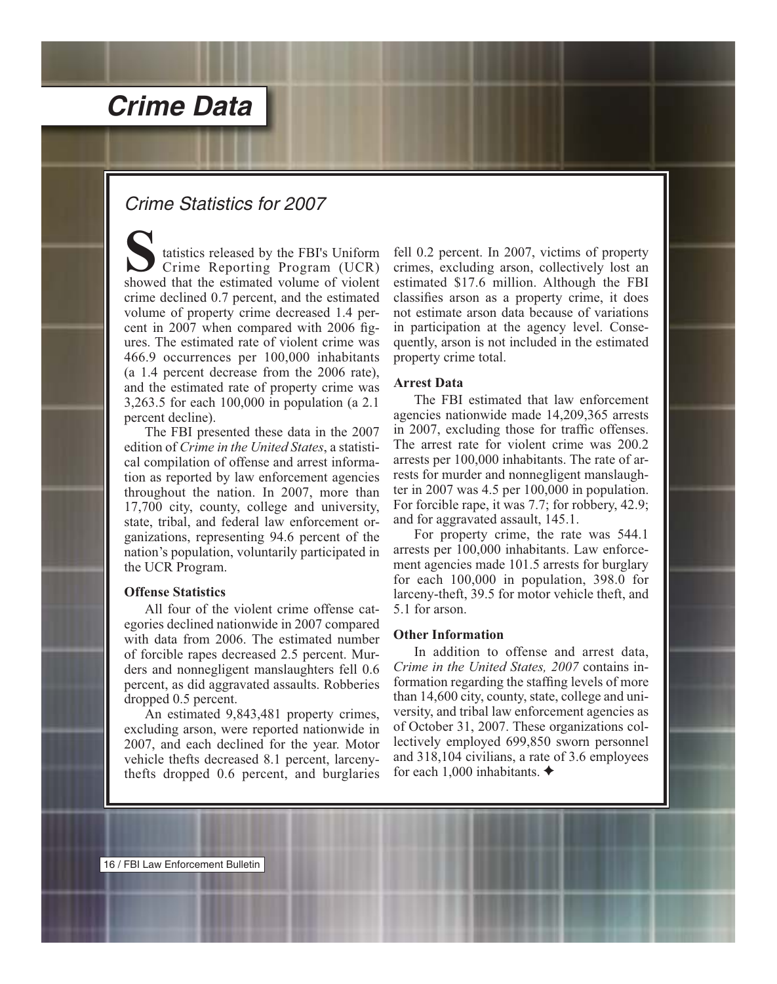### **Crime Data**

### Crime Statistics for 2007

tatistics released by the FBI's Uniform Crime Reporting Program (UCR) S<br>
Statistics released by the FBI's Uniform<br>
Showed that the estimated volume of violent crime declined 0.7 percent, and the estimated volume of property crime decreased 1.4 percent in 2007 when compared with 2006 figures. The estimated rate of violent crime was 466.9 occurrences per 100,000 inhabitants (a 1.4 percent decrease from the 2006 rate), and the estimated rate of property crime was 3,263.5 for each 100,000 in population (a 2.1 percent decline).

The FBI presented these data in the 2007 edition of *Crime in the United States*, a statistical compilation of offense and arrest information as reported by law enforcement agencies throughout the nation. In 2007, more than 17,700 city, county, college and university, state, tribal, and federal law enforcement organizations, representing 94.6 percent of the nation's population, voluntarily participated in the UCR Program.

### **Offense Statistics**

All four of the violent crime offense categories declined nationwide in 2007 compared with data from 2006. The estimated number of forcible rapes decreased 2.5 percent. Murders and nonnegligent manslaughters fell 0.6 percent, as did aggravated assaults. Robberies dropped 0.5 percent.

An estimated 9,843,481 property crimes, excluding arson, were reported nationwide in 2007, and each declined for the year. Motor vehicle thefts decreased 8.1 percent, larcenythefts dropped 0.6 percent, and burglaries fell 0.2 percent. In 2007, victims of property crimes, excluding arson, collectively lost an estimated \$17.6 million. Although the FBI classifies arson as a property crime, it does not estimate arson data because of variations in participation at the agency level. Consequently, arson is not included in the estimated property crime total.

### **Arrest Data**

The FBI estimated that law enforcement agencies nationwide made 14,209,365 arrests in 2007, excluding those for traffic offenses. The arrest rate for violent crime was 200.2 arrests per 100,000 inhabitants. The rate of arrests for murder and nonnegligent manslaughter in 2007 was 4.5 per 100,000 in population. For forcible rape, it was 7.7; for robbery, 42.9; and for aggravated assault, 145.1.

For property crime, the rate was 544.1 arrests per 100,000 inhabitants. Law enforcement agencies made 101.5 arrests for burglary for each 100,000 in population, 398.0 for larceny-theft, 39.5 for motor vehicle theft, and 5.1 for arson.

#### **Other Information**

In addition to offense and arrest data, *Crime in the United States, 2007* contains information regarding the staffing levels of more than 14,600 city, county, state, college and university, and tribal law enforcement agencies as of October 31, 2007. These organizations collectively employed 699,850 sworn personnel and 318,104 civilians, a rate of 3.6 employees for each 1,000 inhabitants.  $\triangleleft$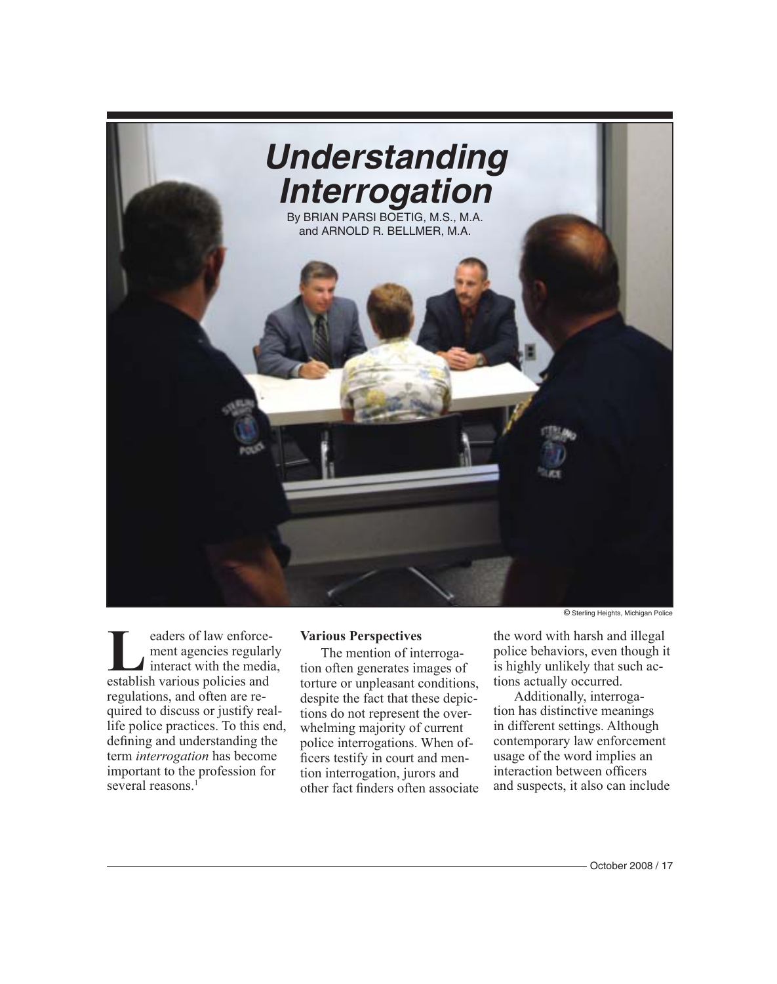

**La Exercise School School School School School School School School School School School School School School School School School School School School School School School School School School School School School School** eaders of law enforcement agencies regularly interact with the media, regulations, and often are required to discuss or justify reallife police practices. To this end, defining and understanding the term *interrogation* has become important to the profession for several reasons.<sup>1</sup>

### **Various Perspectives**

The mention of interrogation often generates images of torture or unpleasant conditions, despite the fact that these depictions do not represent the overwhelming majority of current police interrogations. When officers testify in court and mention interrogation, jurors and other fact finders often associate

© Sterling Heights, Michigan Police

the word with harsh and illegal police behaviors, even though it is highly unlikely that such actions actually occurred.

Additionally, interrogation has distinctive meanings in different settings. Although contemporary law enforcement usage of the word implies an interaction between officers and suspects, it also can include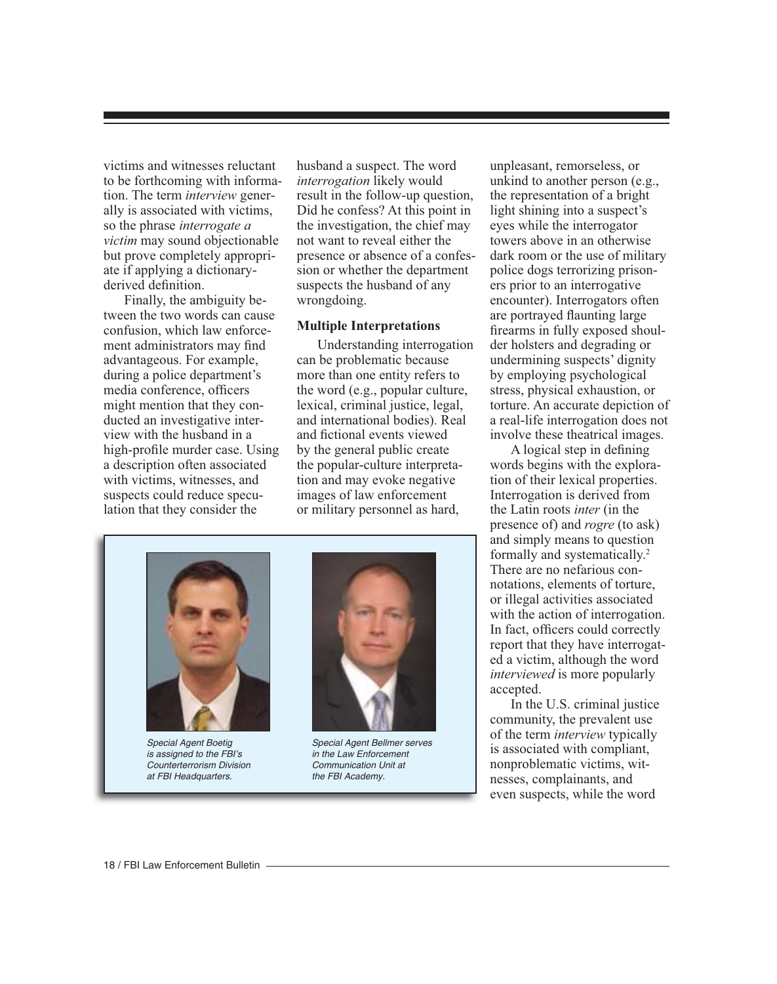victims and witnesses reluctant to be forthcoming with information. The term *interview* generally is associated with victims, so the phrase *interrogate a victim* may sound objectionable but prove completely appropriate if applying a dictionaryderived definition.

Finally, the ambiguity between the two words can cause confusion, which law enforcement administrators may find advantageous. For example, during a police department's media conference, officers might mention that they conducted an investigative interview with the husband in a high-profile murder case. Using a description often associated with victims, witnesses, and suspects could reduce speculation that they consider the

husband a suspect. The word *interrogation* likely would result in the follow-up question, Did he confess? At this point in the investigation, the chief may not want to reveal either the presence or absence of a confession or whether the department suspects the husband of any wrongdoing.

### **Multiple Interpretations**

Understanding interrogation can be problematic because more than one entity refers to the word (e.g., popular culture, lexical, criminal justice, legal, and international bodies). Real and fictional events viewed by the general public create the popular-culture interpretation and may evoke negative images of law enforcement or military personnel as hard,

unpleasant, remorseless, or unkind to another person (e.g., the representation of a bright light shining into a suspect's eyes while the interrogator towers above in an otherwise dark room or the use of military police dogs terrorizing prisoners prior to an interrogative encounter). Interrogators often are portrayed flaunting large firearms in fully exposed shoulder holsters and degrading or undermining suspects' dignity by employing psychological stress, physical exhaustion, or torture. An accurate depiction of a real-life interrogation does not involve these theatrical images.

A logical step in defining words begins with the exploration of their lexical properties. Interrogation is derived from the Latin roots *inter* (in the presence of) and *rogre* (to ask) and simply means to question formally and systematically.<sup>2</sup> There are no nefarious connotations, elements of torture, or illegal activities associated with the action of interrogation. In fact, officers could correctly report that they have interrogated a victim, although the word *interviewed* is more popularly accepted.

In the U.S. criminal justice community, the prevalent use of the term *interview* typically is associated with compliant, nonproblematic victims, witnesses, complainants, and even suspects, while the word

Special Agent Boetig is assigned to the FBI's Counterterrorism Division at FBI Headquarters.

Special Agent Bellmer serves in the Law Enforcement Communication Unit at the FBI Academy.



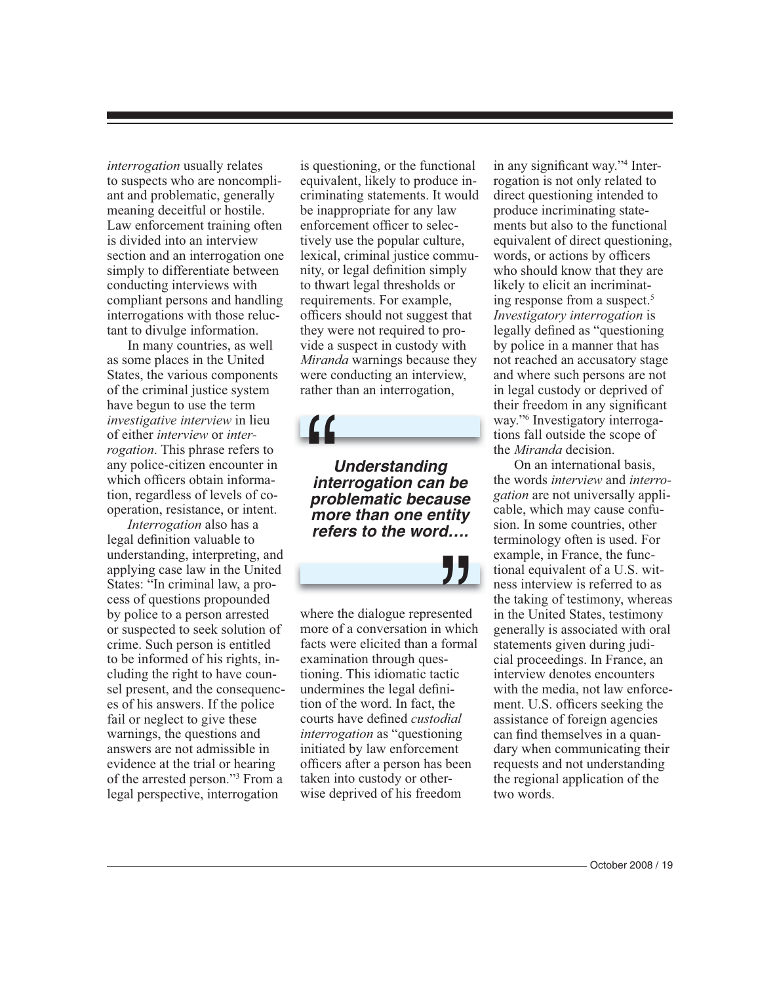*interrogation* usually relates to suspects who are noncompliant and problematic, generally meaning deceitful or hostile. Law enforcement training often is divided into an interview section and an interrogation one simply to differentiate between conducting interviews with compliant persons and handling interrogations with those reluctant to divulge information.

In many countries, as well as some places in the United States, the various components of the criminal justice system have begun to use the term *investigative interview* in lieu of either *interview* or *interrogation*. This phrase refers to any police-citizen encounter in which officers obtain information, regardless of levels of cooperation, resistance, or intent.

*Interrogation* also has a legal definition valuable to understanding, interpreting, and applying case law in the United States: "In criminal law, a process of questions propounded by police to a person arrested or suspected to seek solution of crime. Such person is entitled to be informed of his rights, including the right to have counsel present, and the consequences of his answers. If the police fail or neglect to give these warnings, the questions and answers are not admissible in evidence at the trial or hearing of the arrested person."<sup>3</sup> From a legal perspective, interrogation

is questioning, or the functional equivalent, likely to produce incriminating statements. It would be inappropriate for any law enforcement officer to selectively use the popular culture, lexical, criminal justice community, or legal definition simply to thwart legal thresholds or requirements. For example, officers should not suggest that they were not required to provide a suspect in custody with *Miranda* warnings because they were conducting an interview,

rather than an interrogation,<br> **Constrainer of the Understanding**<br>
interrogation can b **Understanding interrogation can be problematic because more than one entity refers to the word….**

"

where the dialogue represented more of a conversation in which facts were elicited than a formal examination through questioning. This idiomatic tactic undermines the legal definition of the word. In fact, the courts have defined *custodial interrogation* as "questioning initiated by law enforcement officers after a person has been taken into custody or otherwise deprived of his freedom

in any significant way."4 Interrogation is not only related to direct questioning intended to produce incriminating statements but also to the functional equivalent of direct questioning, words, or actions by officers who should know that they are likely to elicit an incriminating response from a suspect.<sup>5</sup> *Investigatory interrogation* is legally defined as "questioning" by police in a manner that has not reached an accusatory stage and where such persons are not in legal custody or deprived of their freedom in any significant way."<sup>6</sup> Investigatory interrogations fall outside the scope of the *Miranda* decision.

On an international basis, the words *interview* and *interrogation* are not universally applicable, which may cause confusion. In some countries, other terminology often is used. For example, in France, the functional equivalent of a U.S. witness interview is referred to as the taking of testimony, whereas in the United States, testimony generally is associated with oral statements given during judicial proceedings. In France, an interview denotes encounters with the media, not law enforcement. U.S. officers seeking the assistance of foreign agencies can find themselves in a quandary when communicating their requests and not understanding the regional application of the two words.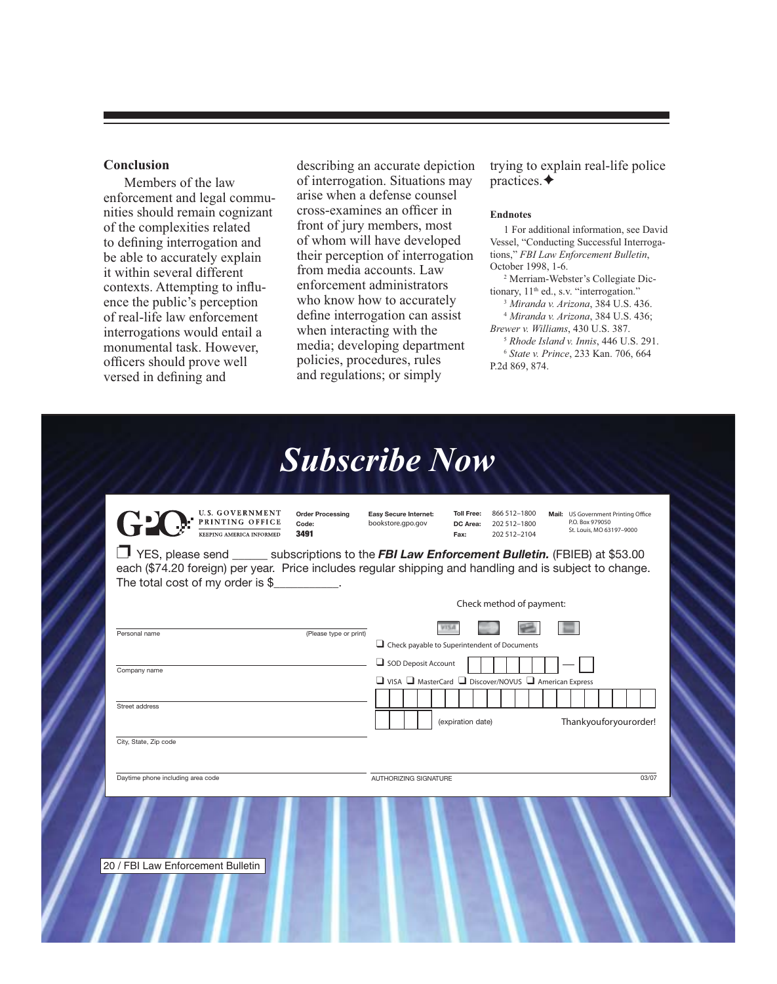### **Conclusion**

G2

Members of the law enforcement and legal communities should remain cognizant of the complexities related to defining interrogation and be able to accurately explain it within several different contexts. Attempting to influence the public's perception of real-life law enforcement interrogations would entail a monumental task. However, officers should prove well versed in defining and

describing an accurate depiction of interrogation. Situations may arise when a defense counsel cross-examines an officer in front of jury members, most of whom will have developed their perception of interrogation from media accounts. Law enforcement administrators who know how to accurately define interrogation can assist when interacting with the media; developing department policies, procedures, rules and regulations; or simply

trying to explain real-life police practices. $\triangle$ 

#### **Endnotes**

1 For additional information, see David Vessel, "Conducting Successful Interrogations," *FBI Law Enforcement Bulletin*, October 1998, 1-6.

2 Merriam-Webster's Collegiate Dictionary,  $11<sup>th</sup>$  ed., s.v. "interrogation."

<sup>3</sup> *Miranda v. Arizona*, 384 U.S. 436. <sup>4</sup> *Miranda v. Arizona*, 384 U.S. 436;

*Brewer v. Williams*, 430 U.S. 387.

<sup>5</sup> *Rhode Island v. Innis*, 446 U.S. 291. <sup>6</sup> *State v. Prince*, 233 Kan. 706, 664 P.2d 869, 874.

| <b>Subscribe Now</b> |  |
|----------------------|--|
|                      |  |

U.S. GOVERNMENT KEEPING AMERICA INFORMED

**Order Processing Code:** 3491

**Easy Secure Internet:** bookstore.gpo.gov

**Toll Free:** 866 512–1800 **DC Area:** 202 512–1800 **Fax:** 202 512–2104

**Mail:** US Government Printing Office P.O. Box 979050 St. Louis, MO 63197–9000

S YES, please send \_\_\_\_\_\_ subscriptions to the *FBI Law Enforcement Bulletin.* (FBIEB) at \$53.00 each (\$74.20 foreign) per year. Price includes regular shipping and handling and is subject to change. The total cost of my order is \$

|                                                            | Check method of payment:                                                                                                     |
|------------------------------------------------------------|------------------------------------------------------------------------------------------------------------------------------|
| (Please type or print)<br>Personal name                    | VISA<br>$\Box$ Check payable to Superintendent of Documents                                                                  |
| Company name<br>Street address                             | SOD Deposit Account<br>□ VISA □ MasterCard □ Discover/NOVUS □ American Express<br>Thankyouforyourorder!<br>(expiration date) |
| City, State, Zip code<br>Daytime phone including area code | 03/07<br>AUTHORIZING SIGNATURE                                                                                               |
|                                                            |                                                                                                                              |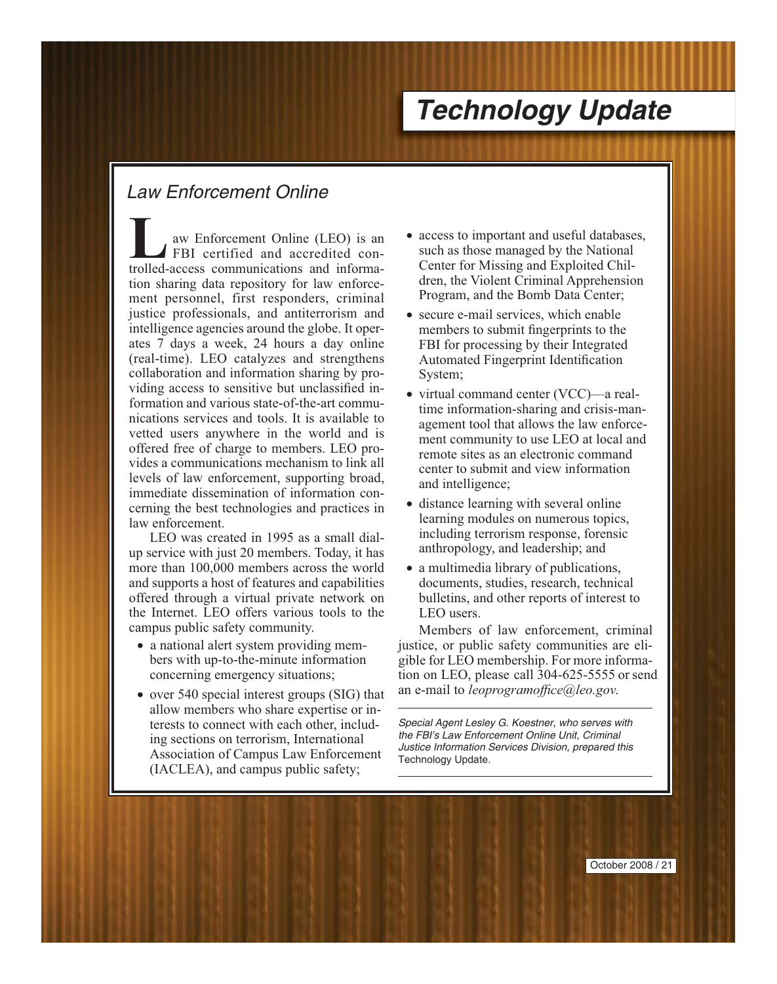### **Technology Update**

### Law Enforcement Online

**Law Enforcement Online (LEO) is an FBI certified and accredited con-**<br>trolled-access communications and information sharing data repository for law enforcement personnel, first responders, criminal justice professionals, and antiterrorism and intelligence agencies around the globe. It operates 7 days a week, 24 hours a day online (real-time). LEO catalyzes and strengthens collaboration and information sharing by providing access to sensitive but unclassified information and various state-of-the-art communications services and tools. It is available to vetted users anywhere in the world and is offered free of charge to members. LEO provides a communications mechanism to link all levels of law enforcement, supporting broad, immediate dissemination of information concerning the best technologies and practices in law enforcement.

LEO was created in 1995 as a small dialup service with just 20 members. Today, it has more than 100,000 members across the world and supports a host of features and capabilities offered through a virtual private network on the Internet. LEO offers various tools to the campus public safety community.

- a national alert system providing members with up-to-the-minute information concerning emergency situations;
- over 540 special interest groups (SIG) that allow members who share expertise or interests to connect with each other, including sections on terrorism, International Association of Campus Law Enforcement (IACLEA), and campus public safety;
- access to important and useful databases, such as those managed by the National Center for Missing and Exploited Children, the Violent Criminal Apprehension Program, and the Bomb Data Center;
- secure e-mail services, which enable members to submit fingerprints to the FBI for processing by their Integrated Automated Fingerprint Identification System;
- virtual command center (VCC)—a realtime information-sharing and crisis-management tool that allows the law enforcement community to use LEO at local and remote sites as an electronic command center to submit and view information and intelligence;
- distance learning with several online learning modules on numerous topics, including terrorism response, forensic anthropology, and leadership; and
- a multimedia library of publications, documents, studies, research, technical bulletins, and other reports of interest to LEO users.

Members of law enforcement, criminal justice, or public safety communities are eligible for LEO membership. For more information on LEO, please call 304-625-5555 or send an e-mail to *leoprogramoffice@leo.gov*.

Special Agent Lesley G. Koestner, who serves with the FBI's Law Enforcement Online Unit, Criminal Justice Information Services Division, prepared this Technology Update.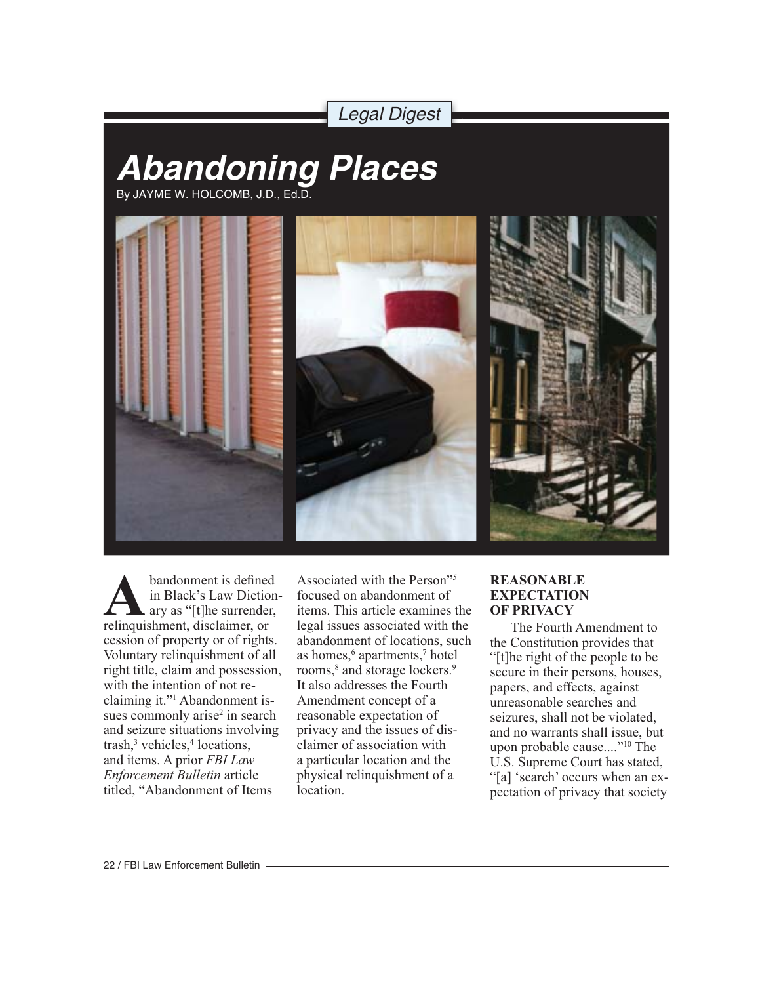### Legal Digest

# **Abandoning Places**

By JAYME W. HOLCOMB, J.D., Ed.D.



**A** relinquishment, disclaimer, or bandonment is defined in Black's Law Diction- $\Box$  ary as "[t]he surrender, cession of property or of rights. Voluntary relinquishment of all right title, claim and possession, with the intention of not reclaiming it."<sup>1</sup> Abandonment issues commonly arise<sup>2</sup> in search and seizure situations involving  $\text{trash},^3$  vehicles,<sup>4</sup> locations, and items. A prior *FBI Law Enforcement Bulletin* article titled, "Abandonment of Items

Associated with the Person"*<sup>5</sup>* focused on abandonment of items. This article examines the legal issues associated with the abandonment of locations, such as homes,<sup>6</sup> apartments,<sup>7</sup> hotel rooms,<sup>8</sup> and storage lockers.<sup>9</sup> It also addresses the Fourth Amendment concept of a reasonable expectation of privacy and the issues of disclaimer of association with a particular location and the physical relinquishment of a location.

### **REASONABLE EXPECTATION OF PRIVACY**

The Fourth Amendment to the Constitution provides that "[t]he right of the people to be secure in their persons, houses, papers, and effects, against unreasonable searches and seizures, shall not be violated, and no warrants shall issue, but upon probable cause...."<sup>10</sup> The U.S. Supreme Court has stated, "[a] 'search' occurs when an expectation of privacy that society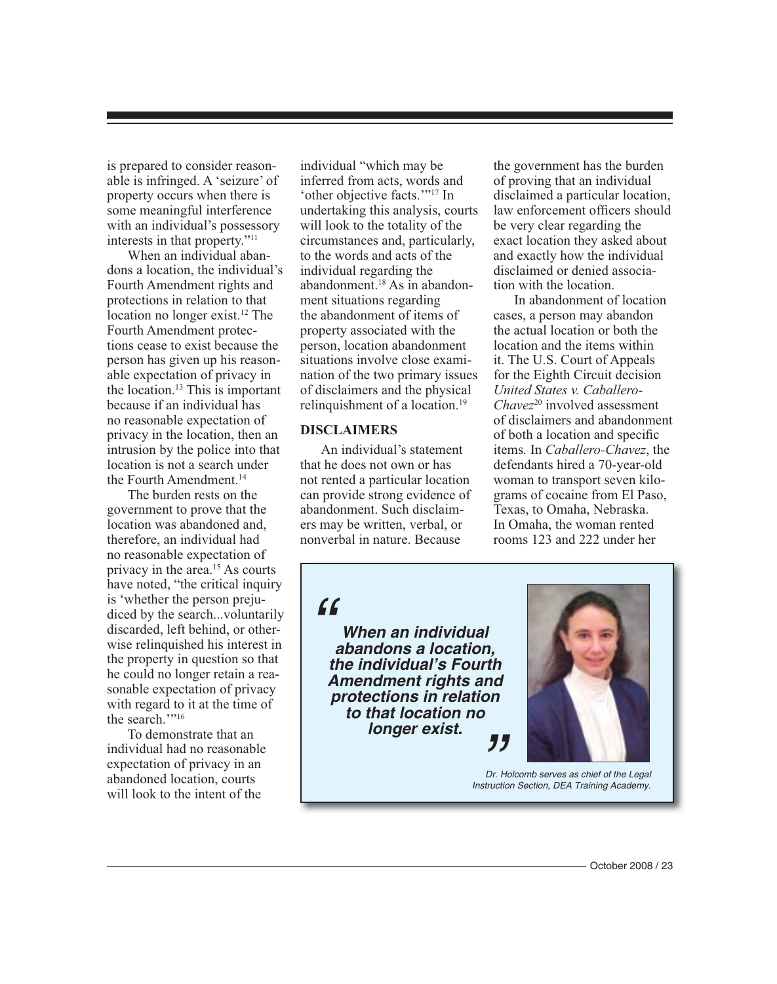is prepared to consider reasonable is infringed. A 'seizure' of property occurs when there is some meaningful interference with an individual's possessory interests in that property."<sup>11</sup>

When an individual abandons a location, the individual's Fourth Amendment rights and protections in relation to that location no longer exist.<sup>12</sup> The Fourth Amendment protections cease to exist because the person has given up his reasonable expectation of privacy in the location.<sup>13</sup> This is important because if an individual has no reasonable expectation of privacy in the location, then an intrusion by the police into that location is not a search under the Fourth Amendment.<sup>14</sup>

The burden rests on the government to prove that the location was abandoned and, therefore, an individual had no reasonable expectation of privacy in the area.<sup>15</sup> As courts have noted, "the critical inquiry is 'whether the person prejudiced by the search...voluntarily discarded, left behind, or otherwise relinquished his interest in the property in question so that he could no longer retain a reasonable expectation of privacy with regard to it at the time of the search  $\frac{1}{100}$ 

To demonstrate that an individual had no reasonable expectation of privacy in an abandoned location, courts will look to the intent of the

individual "which may be inferred from acts, words and 'other objective facts.'"<sup>17</sup> In undertaking this analysis, courts will look to the totality of the circumstances and, particularly, to the words and acts of the individual regarding the abandonment.18 As in abandonment situations regarding the abandonment of items of property associated with the person, location abandonment situations involve close examination of the two primary issues of disclaimers and the physical relinquishment of a location.<sup>19</sup>

### **DISCLAIMERS**

An individual's statement that he does not own or has not rented a particular location can provide strong evidence of abandonment. Such disclaimers may be written, verbal, or nonverbal in nature. Because

the government has the burden of proving that an individual disclaimed a particular location, law enforcement officers should be very clear regarding the exact location they asked about and exactly how the individual disclaimed or denied association with the location.

In abandonment of location cases, a person may abandon the actual location or both the location and the items within it. The U.S. Court of Appeals for the Eighth Circuit decision *United States v. Caballero-Chavez*<sup>20</sup> involved assessment of disclaimers and abandonment of both a location and specific items*.* In *Caballero-Chavez*, the defendants hired a 70-year-old woman to transport seven kilograms of cocaine from El Paso, Texas, to Omaha, Nebraska. In Omaha, the woman rented rooms 123 and 222 under her

 $f$ 

**When an individual abandons a location, the individual's Fourth Amendment rights and protections in relation to that location no longer exist.**



 $\sum_{\substack{Dr. \text{at} \text{struct}}}$ Dr. Holcomb serves as chief of the Legal Instruction Section, DEA Training Academy.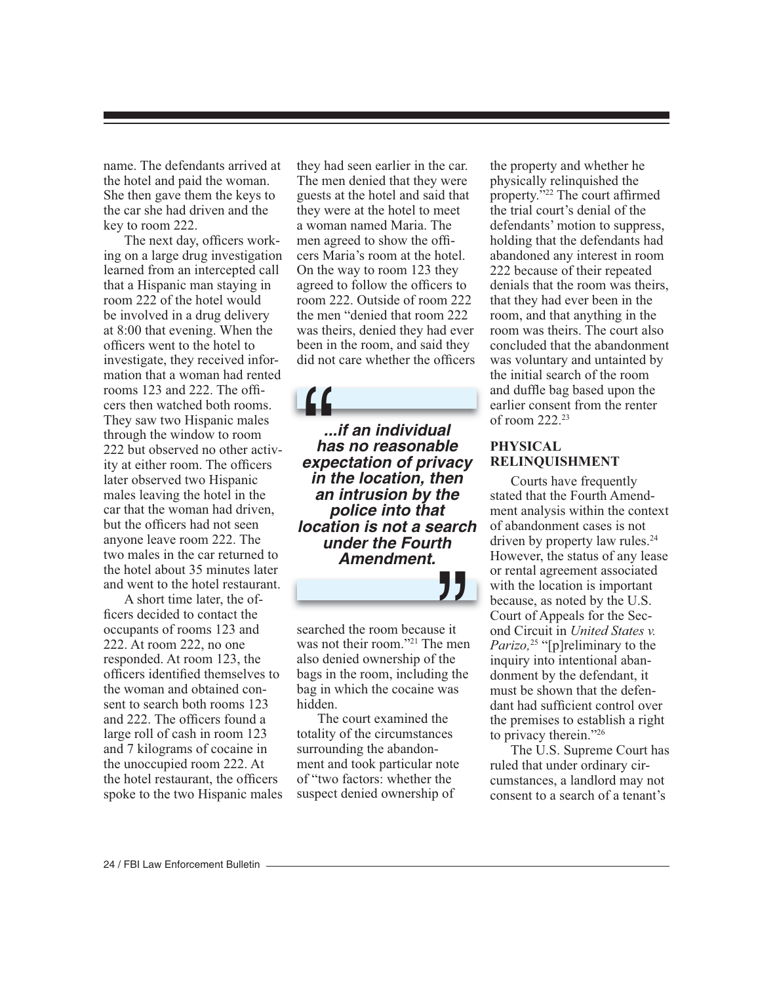name. The defendants arrived at the hotel and paid the woman. She then gave them the keys to the car she had driven and the key to room 222.

The next day, officers working on a large drug investigation learned from an intercepted call that a Hispanic man staying in room 222 of the hotel would be involved in a drug delivery at 8:00 that evening. When the officers went to the hotel to investigate, they received information that a woman had rented rooms  $123$  and  $222$ . The officers then watched both rooms. They saw two Hispanic males through the window to room 222 but observed no other activity at either room. The officers later observed two Hispanic males leaving the hotel in the car that the woman had driven, but the officers had not seen anyone leave room 222. The two males in the car returned to the hotel about 35 minutes later and went to the hotel restaurant.

A short time later, the officers decided to contact the occupants of rooms 123 and 222. At room 222, no one responded. At room 123, the officers identified themselves to the woman and obtained consent to search both rooms 123 and 222. The officers found a large roll of cash in room 123 and 7 kilograms of cocaine in the unoccupied room 222. At the hotel restaurant, the officers spoke to the two Hispanic males

they had seen earlier in the car. The men denied that they were guests at the hotel and said that they were at the hotel to meet a woman named Maria. The men agreed to show the officers Maria's room at the hotel. On the way to room 123 they agreed to follow the officers to room 222. Outside of room 222 the men "denied that room 222 was theirs, denied they had ever been in the room, and said they did not care whether the officers

lid not care whether the officers<br> **expectation of privacy**<br> **expectation of privacy ...if an individual has no reasonable in the location, then an intrusion by the police into that location is not a search under the Fourth Amendment.**

"

searched the room because it was not their room."<sup>21</sup> The men also denied ownership of the bags in the room, including the bag in which the cocaine was hidden.

The court examined the totality of the circumstances surrounding the abandonment and took particular note of "two factors: whether the suspect denied ownership of

the property and whether he physically relinquished the property."<sup>22</sup> The court affirmed the trial court's denial of the defendants' motion to suppress, holding that the defendants had abandoned any interest in room 222 because of their repeated denials that the room was theirs, that they had ever been in the room, and that anything in the room was theirs. The court also concluded that the abandonment was voluntary and untainted by the initial search of the room and duffle bag based upon the earlier consent from the renter of room 222.<sup>23</sup>

### **PHYSICAL RELINQUISHMENT**

Courts have frequently stated that the Fourth Amendment analysis within the context of abandonment cases is not driven by property law rules.<sup>24</sup> However, the status of any lease or rental agreement associated with the location is important because, as noted by the U.S. Court of Appeals for the Second Circuit in *United States v. Parizo,*<sup>25</sup> "[p]reliminary to the inquiry into intentional abandonment by the defendant, it must be shown that the defendant had sufficient control over the premises to establish a right to privacy therein."<sup>26</sup>

The U.S. Supreme Court has ruled that under ordinary circumstances, a landlord may not consent to a search of a tenant's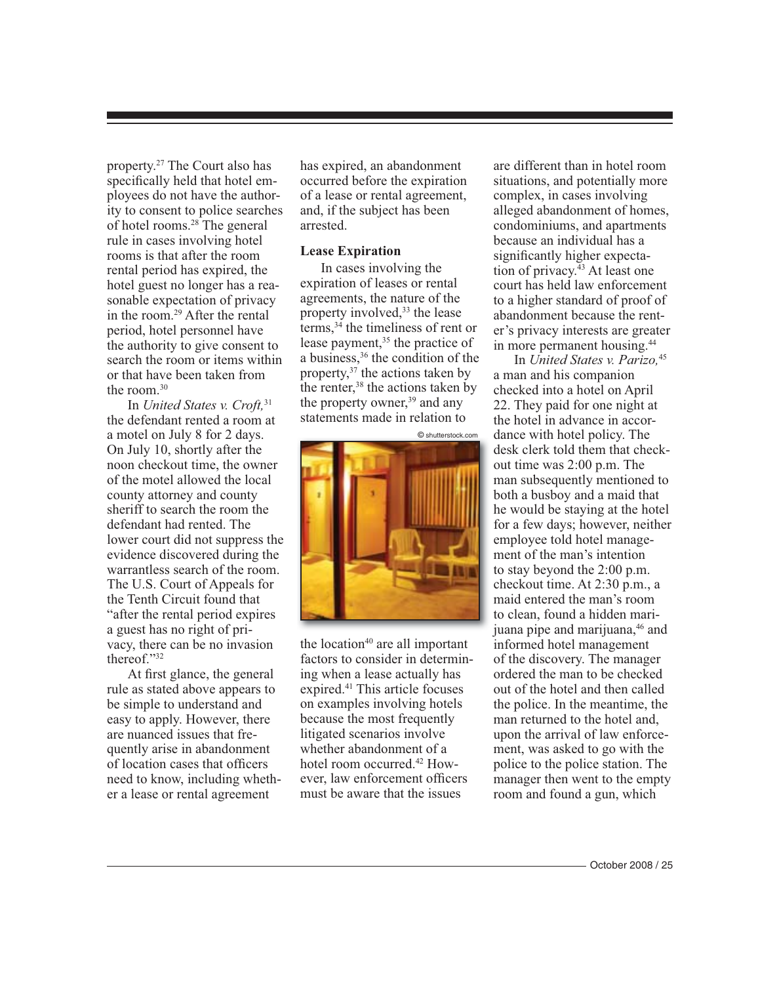property.<sup>27</sup> The Court also has specifically held that hotel employees do not have the authority to consent to police searches of hotel rooms.<sup>28</sup> The general rule in cases involving hotel rooms is that after the room rental period has expired, the hotel guest no longer has a reasonable expectation of privacy in the room.<sup>29</sup> After the rental period, hotel personnel have the authority to give consent to search the room or items within or that have been taken from the room.<sup>30</sup>

In *United States v. Croft,*<sup>31</sup> the defendant rented a room at a motel on July 8 for 2 days. On July 10, shortly after the noon checkout time, the owner of the motel allowed the local county attorney and county sheriff to search the room the defendant had rented. The lower court did not suppress the evidence discovered during the warrantless search of the room. The U.S. Court of Appeals for the Tenth Circuit found that "after the rental period expires a guest has no right of privacy, there can be no invasion thereof."<sup>32</sup>

At first glance, the general rule as stated above appears to be simple to understand and easy to apply. However, there are nuanced issues that frequently arise in abandonment of location cases that officers need to know, including whether a lease or rental agreement

has expired, an abandonment occurred before the expiration of a lease or rental agreement, and, if the subject has been arrested.

### **Lease Expiration**

In cases involving the expiration of leases or rental agreements, the nature of the property involved,<sup>33</sup> the lease terms,<sup>34</sup> the timeliness of rent or lease payment, $35$  the practice of a business,<sup>36</sup> the condition of the property,<sup>37</sup> the actions taken by the renter, $38$  the actions taken by the property owner, $39$  and any statements made in relation to



the location $40$  are all important factors to consider in determining when a lease actually has expired.<sup>41</sup> This article focuses on examples involving hotels because the most frequently litigated scenarios involve whether abandonment of a hotel room occurred.<sup>42</sup> However, law enforcement officers must be aware that the issues

are different than in hotel room situations, and potentially more complex, in cases involving alleged abandonment of homes, condominiums, and apartments because an individual has a significantly higher expectation of privacy.<sup>43</sup> At least one court has held law enforcement to a higher standard of proof of abandonment because the renter's privacy interests are greater in more permanent housing.<sup>44</sup>

In *United States v. Parizo,*<sup>45</sup> a man and his companion checked into a hotel on April 22. They paid for one night at the hotel in advance in accordance with hotel policy. The desk clerk told them that checkout time was 2:00 p.m. The man subsequently mentioned to both a busboy and a maid that he would be staying at the hotel for a few days; however, neither employee told hotel management of the man's intention to stay beyond the 2:00 p.m. checkout time. At 2:30 p.m., a maid entered the man's room to clean, found a hidden marijuana pipe and marijuana, <sup>46</sup> and informed hotel management of the discovery. The manager ordered the man to be checked out of the hotel and then called the police. In the meantime, the man returned to the hotel and, upon the arrival of law enforcement, was asked to go with the police to the police station. The manager then went to the empty room and found a gun, which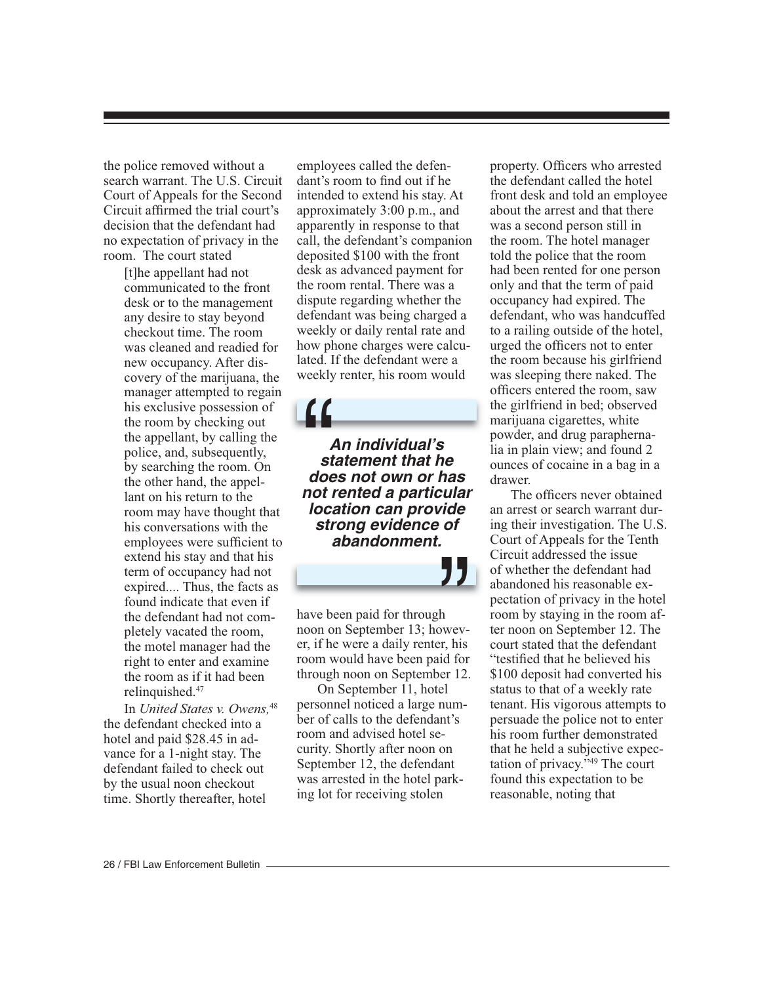the police removed without a search warrant. The U.S. Circuit Court of Appeals for the Second Circuit affirmed the trial court's decision that the defendant had no expectation of privacy in the room. The court stated

> [t]he appellant had not communicated to the front desk or to the management any desire to stay beyond checkout time. The room was cleaned and readied for new occupancy. After discovery of the marijuana, the manager attempted to regain his exclusive possession of the room by checking out the appellant, by calling the police, and, subsequently, by searching the room. On the other hand, the appellant on his return to the room may have thought that his conversations with the employees were sufficient to extend his stay and that his term of occupancy had not expired.... Thus, the facts as found indicate that even if the defendant had not completely vacated the room, the motel manager had the right to enter and examine the room as if it had been relinquished.<sup>47</sup>

In *United States v. Owens,*<sup>48</sup> the defendant checked into a hotel and paid \$28.45 in advance for a 1-night stay. The defendant failed to check out by the usual noon checkout time. Shortly thereafter, hotel

employees called the defendant's room to find out if he intended to extend his stay. At approximately 3:00 p.m., and apparently in response to that call, the defendant's companion deposited \$100 with the front desk as advanced payment for the room rental. There was a dispute regarding whether the defendant was being charged a weekly or daily rental rate and how phone charges were calculated. If the defendant were a

weekly renter, his room would<br> **An individual's<br>
statement that he<br>
does not own or has An individual's statement that he does not own or has not rented a particular location can provide strong evidence of abandonment.**

"

have been paid for through noon on September 13; however, if he were a daily renter, his room would have been paid for through noon on September 12.

On September 11, hotel personnel noticed a large number of calls to the defendant's room and advised hotel security. Shortly after noon on September 12, the defendant was arrested in the hotel parking lot for receiving stolen

property. Officers who arrested the defendant called the hotel front desk and told an employee about the arrest and that there was a second person still in the room. The hotel manager told the police that the room had been rented for one person only and that the term of paid occupancy had expired. The defendant, who was handcuffed to a railing outside of the hotel, urged the officers not to enter the room because his girlfriend was sleeping there naked. The officers entered the room, saw the girlfriend in bed; observed marijuana cigarettes, white powder, and drug paraphernalia in plain view; and found 2 ounces of cocaine in a bag in a drawer.

The officers never obtained an arrest or search warrant during their investigation. The U.S. Court of Appeals for the Tenth Circuit addressed the issue of whether the defendant had abandoned his reasonable expectation of privacy in the hotel room by staying in the room after noon on September 12. The court stated that the defendant "testified that he believed his \$100 deposit had converted his status to that of a weekly rate tenant. His vigorous attempts to persuade the police not to enter his room further demonstrated that he held a subjective expectation of privacy."<sup>49</sup> The court found this expectation to be reasonable, noting that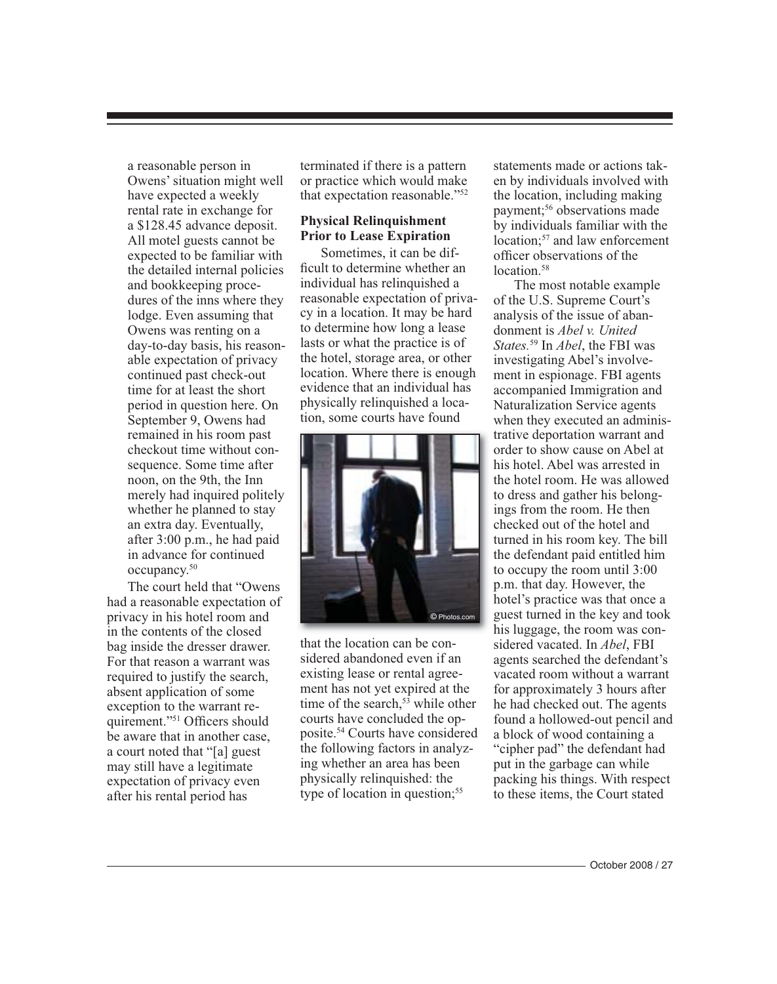a reasonable person in Owens' situation might well have expected a weekly rental rate in exchange for a \$128.45 advance deposit. All motel guests cannot be expected to be familiar with the detailed internal policies and bookkeeping procedures of the inns where they lodge. Even assuming that Owens was renting on a day-to-day basis, his reasonable expectation of privacy continued past check-out time for at least the short period in question here. On September 9, Owens had remained in his room past checkout time without consequence. Some time after noon, on the 9th, the Inn merely had inquired politely whether he planned to stay an extra day. Eventually, after 3:00 p.m., he had paid in advance for continued occupancy.<sup>50</sup>

The court held that "Owens had a reasonable expectation of privacy in his hotel room and in the contents of the closed bag inside the dresser drawer. For that reason a warrant was required to justify the search, absent application of some exception to the warrant requirement."<sup>51</sup> Officers should be aware that in another case, a court noted that "[a] guest may still have a legitimate expectation of privacy even after his rental period has

terminated if there is a pattern or practice which would make that expectation reasonable."<sup>52</sup>

### **Physical Relinquishment Prior to Lease Expiration**

Sometimes, it can be difficult to determine whether an individual has relinquished a reasonable expectation of privacy in a location. It may be hard to determine how long a lease lasts or what the practice is of the hotel, storage area, or other location. Where there is enough evidence that an individual has physically relinquished a location, some courts have found



that the location can be considered abandoned even if an existing lease or rental agreement has not yet expired at the time of the search,<sup>53</sup> while other courts have concluded the opposite.<sup>54</sup> Courts have considered the following factors in analyzing whether an area has been physically relinquished: the type of location in question;<sup>55</sup>

statements made or actions taken by individuals involved with the location, including making payment;<sup>56</sup> observations made by individuals familiar with the location;<sup>57</sup> and law enforcement officer observations of the location<sup>58</sup>

The most notable example of the U.S. Supreme Court's analysis of the issue of abandonment is *Abel v. United States.*<sup>59</sup> In *Abel*, the FBI was investigating Abel's involvement in espionage. FBI agents accompanied Immigration and Naturalization Service agents when they executed an administrative deportation warrant and order to show cause on Abel at his hotel. Abel was arrested in the hotel room. He was allowed to dress and gather his belongings from the room. He then checked out of the hotel and turned in his room key. The bill the defendant paid entitled him to occupy the room until 3:00 p.m. that day. However, the hotel's practice was that once a guest turned in the key and took his luggage, the room was considered vacated. In *Abel*, FBI agents searched the defendant's vacated room without a warrant for approximately 3 hours after he had checked out. The agents found a hollowed-out pencil and a block of wood containing a "cipher pad" the defendant had put in the garbage can while packing his things. With respect to these items, the Court stated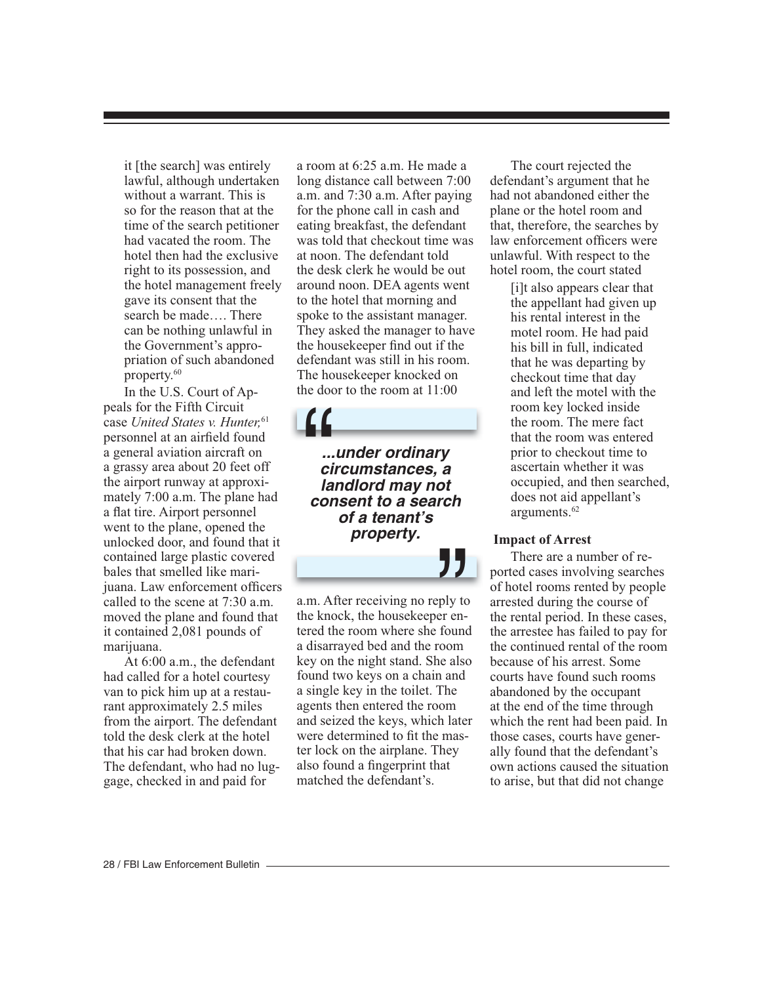it [the search] was entirely lawful, although undertaken without a warrant. This is so for the reason that at the time of the search petitioner had vacated the room. The hotel then had the exclusive right to its possession, and the hotel management freely gave its consent that the search be made…. There can be nothing unlawful in the Government's appropriation of such abandoned property.<sup>60</sup>

In the U.S. Court of Appeals for the Fifth Circuit case *United States v. Hunter,*<sup>61</sup> personnel at an airfield found a general aviation aircraft on a grassy area about 20 feet off the airport runway at approximately 7:00 a.m. The plane had a flat tire. Airport personnel went to the plane, opened the unlocked door, and found that it contained large plastic covered bales that smelled like marijuana. Law enforcement officers called to the scene at 7:30 a.m. moved the plane and found that it contained 2,081 pounds of marijuana.

At 6:00 a.m., the defendant had called for a hotel courtesy van to pick him up at a restaurant approximately 2.5 miles from the airport. The defendant told the desk clerk at the hotel that his car had broken down. The defendant, who had no luggage, checked in and paid for

a room at 6:25 a.m. He made a long distance call between 7:00 a.m. and 7:30 a.m. After paying for the phone call in cash and eating breakfast, the defendant was told that checkout time was at noon. The defendant told the desk clerk he would be out around noon. DEA agents went to the hotel that morning and spoke to the assistant manager. They asked the manager to have the house keeper find out if the defendant was still in his room. The housekeeper knocked on the door to the room at 11:00

 $\sum_{n=1}^{\infty}$ **...under ordinary circumstances, a landlord may not consent to a search of a tenant's property.**

"

a.m. After receiving no reply to the knock, the housekeeper entered the room where she found a disarrayed bed and the room key on the night stand. She also found two keys on a chain and a single key in the toilet. The agents then entered the room and seized the keys, which later were determined to fit the master lock on the airplane. They also found a fingerprint that matched the defendant's.

The court rejected the defendant's argument that he had not abandoned either the plane or the hotel room and that, therefore, the searches by law enforcement officers were unlawful. With respect to the hotel room, the court stated

> [i]t also appears clear that the appellant had given up his rental interest in the motel room. He had paid his bill in full, indicated that he was departing by checkout time that day and left the motel with the room key locked inside the room. The mere fact that the room was entered prior to checkout time to ascertain whether it was occupied, and then searched, does not aid appellant's arguments.<sup>62</sup>

### **Impact of Arrest**

There are a number of reported cases involving searches of hotel rooms rented by people arrested during the course of the rental period. In these cases, the arrestee has failed to pay for the continued rental of the room because of his arrest. Some courts have found such rooms abandoned by the occupant at the end of the time through which the rent had been paid. In those cases, courts have generally found that the defendant's own actions caused the situation to arise, but that did not change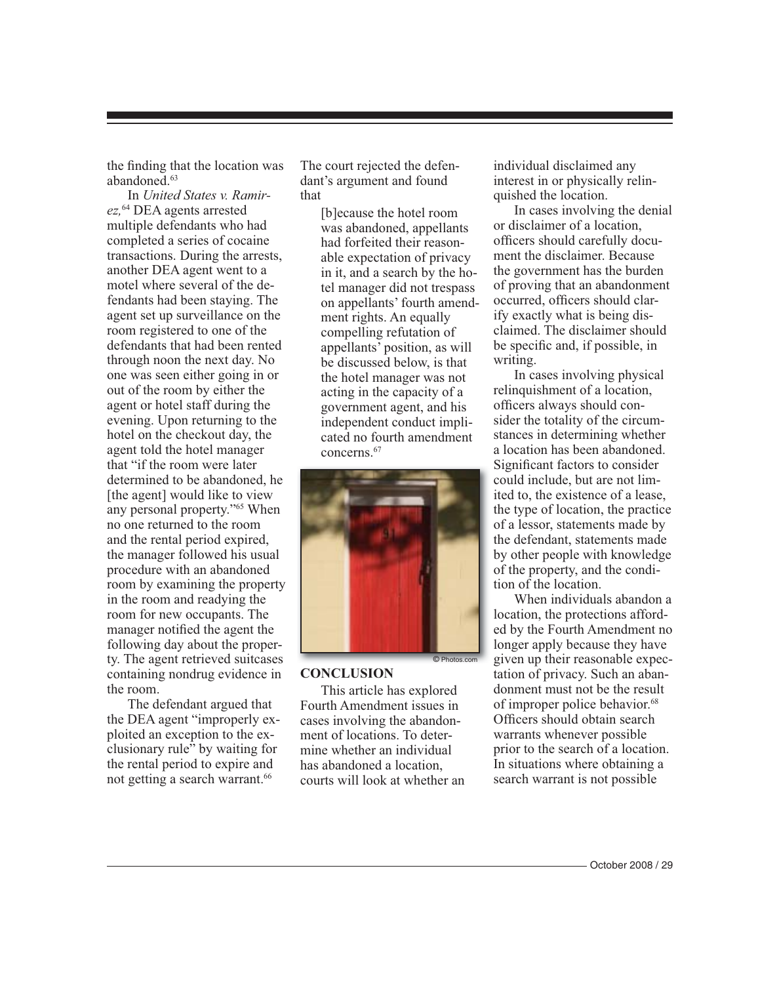the finding that the location was abandoned.<sup>63</sup>

In *United States v. Ramirez,*<sup>64</sup> DEA agents arrested multiple defendants who had completed a series of cocaine transactions. During the arrests, another DEA agent went to a motel where several of the defendants had been staying. The agent set up surveillance on the room registered to one of the defendants that had been rented through noon the next day. No one was seen either going in or out of the room by either the agent or hotel staff during the evening. Upon returning to the hotel on the checkout day, the agent told the hotel manager that "if the room were later determined to be abandoned, he [the agent] would like to view any personal property."<sup>65</sup> When no one returned to the room and the rental period expired, the manager followed his usual procedure with an abandoned room by examining the property in the room and readying the room for new occupants. The manager notified the agent the following day about the property. The agent retrieved suitcases containing nondrug evidence in the room.

The defendant argued that the DEA agent "improperly exploited an exception to the exclusionary rule" by waiting for the rental period to expire and not getting a search warrant.<sup>66</sup>

The court rejected the defendant's argument and found that

> [b]ecause the hotel room was abandoned, appellants had forfeited their reasonable expectation of privacy in it, and a search by the hotel manager did not trespass on appellants' fourth amendment rights. An equally compelling refutation of appellants' position, as will be discussed below, is that the hotel manager was not acting in the capacity of a government agent, and his independent conduct implicated no fourth amendment concerns.<sup>67</sup>



### **CONCLUSION**

This article has explored Fourth Amendment issues in cases involving the abandonment of locations. To determine whether an individual has abandoned a location, courts will look at whether an individual disclaimed any interest in or physically relinquished the location.

In cases involving the denial or disclaimer of a location, officers should carefully document the disclaimer. Because the government has the burden of proving that an abandonment occurred, officers should clarify exactly what is being disclaimed. The disclaimer should be specific and, if possible, in writing.

In cases involving physical relinquishment of a location, officers always should consider the totality of the circumstances in determining whether a location has been abandoned. Significant factors to consider could include, but are not limited to, the existence of a lease, the type of location, the practice of a lessor, statements made by the defendant, statements made by other people with knowledge of the property, and the condition of the location.

When individuals abandon a location, the protections afforded by the Fourth Amendment no longer apply because they have given up their reasonable expectation of privacy. Such an abandonment must not be the result of improper police behavior.<sup>68</sup> Officers should obtain search warrants whenever possible prior to the search of a location. In situations where obtaining a search warrant is not possible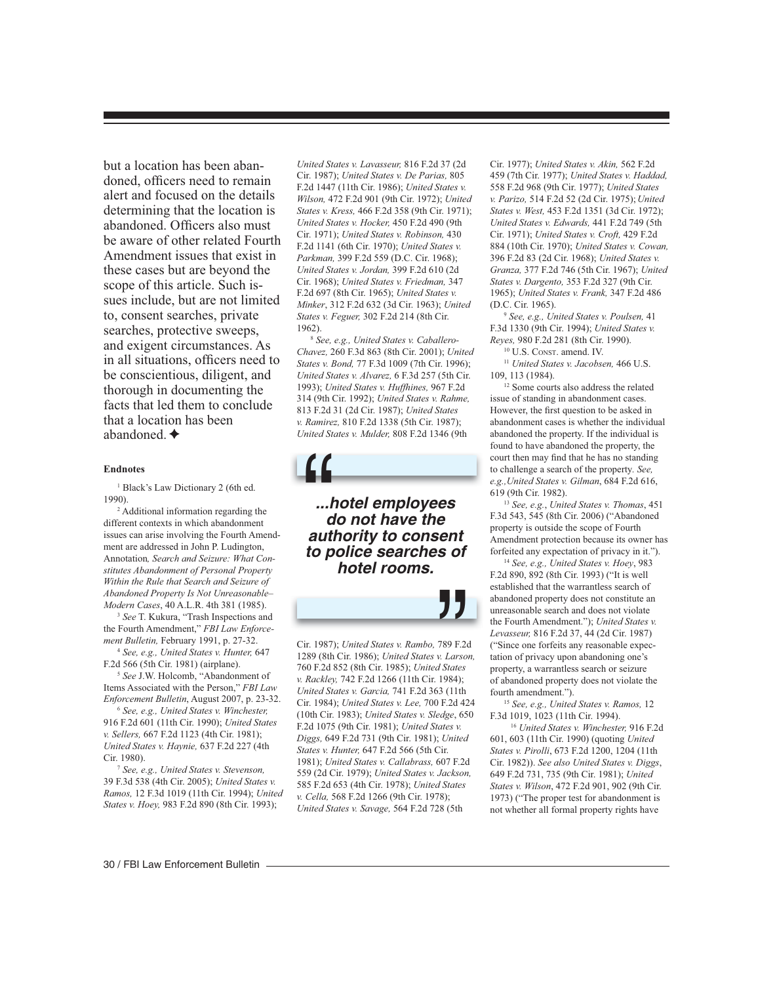but a location has been abandoned, officers need to remain alert and focused on the details determining that the location is abandoned. Officers also must be aware of other related Fourth Amendment issues that exist in these cases but are beyond the scope of this article. Such issues include, but are not limited to, consent searches, private searches, protective sweeps, and exigent circumstances. As in all situations, officers need to be conscientious, diligent, and thorough in documenting the facts that led them to conclude that a location has been abandoned. $\blacklozenge$ 

#### **Endnotes**

1 Black's Law Dictionary 2 (6th ed. 1990).

2 Additional information regarding the different contexts in which abandonment issues can arise involving the Fourth Amendment are addressed in John P. Ludington, Annotation*, Search and Seizure: What Constitutes Abandonment of Personal Property Within the Rule that Search and Seizure of Abandoned Property Is Not Unreasonable– Modern Cases*, 40 A.L.R. 4th 381 (1985).

<sup>3</sup> *See* T. Kukura, "Trash Inspections and the Fourth Amendment," *FBI Law Enforcement Bulletin,* February 1991, p. 27-32.

<sup>4</sup> *See, e.g., United States v. Hunter,* 647 F.2d 566 (5th Cir. 1981) (airplane).

<sup>5</sup> *See* J.W. Holcomb, "Abandonment of Items Associated with the Person," *FBI Law Enforcement Bulletin*, August 2007, p. 23-32.

<sup>6</sup> *See, e.g., United States v. Winchester,* 916 F.2d 601 (11th Cir. 1990); *United States v. Sellers,* 667 F.2d 1123 (4th Cir. 1981); *United States v. Haynie,* 637 F.2d 227 (4th Cir. 1980).

<sup>7</sup> *See, e.g., United States v. Stevenson,* 39 F.3d 538 (4th Cir. 2005); *United States v. Ramos,* 12 F.3d 1019 (11th Cir. 1994); *United States v. Hoey,* 983 F.2d 890 (8th Cir. 1993);

*United States v. Lavasseur,* 816 F.2d 37 (2d Cir. 1987); *United States v. De Parias,* 805 F.2d 1447 (11th Cir. 1986); *United States v. Wilson,* 472 F.2d 901 (9th Cir. 1972); *United States v. Kress,* 466 F.2d 358 (9th Cir. 1971); *United States v. Hocker,* 450 F.2d 490 (9th Cir. 1971); *United States v. Robinson,* 430 F.2d 1141 (6th Cir. 1970); *United States v. Parkman,* 399 F.2d 559 (D.C. Cir. 1968); *United States v. Jordan,* 399 F.2d 610 (2d Cir. 1968); *United States v. Friedman,* 347 F.2d 697 (8th Cir. 1965); *United States v. Minker*, 312 F.2d 632 (3d Cir. 1963); *United States v. Feguer,* 302 F.2d 214 (8th Cir. 1962).

<sup>8</sup> *See, e.g., United States v. Caballero-Chavez,* 260 F.3d 863 (8th Cir. 2001); *United States v. Bond,* 77 F.3d 1009 (7th Cir. 1996); *United States v. Alvarez,* 6 F.3d 257 (5th Cir. 1993); *United States v. Huffhines,* 967 F.2d 314 (9th Cir. 1992); *United States v. Rahme,* 813 F.2d 31 (2d Cir. 1987); *United States v. Ramirez,* 810 F.2d 1338 (5th Cir. 1987); *United States v. Mulder,* 808 F.2d 1346 (9th

 $\begin{bmatrix}\n\text{Ramire} \\
\text{S1}\n\end{bmatrix}$ 

**...hotel employees do not have the authority to consent to police searches of hotel rooms.**

 $\begin{array}{c} \n\text{789 F.2c} \\
\hline\n\text{789 F.2c} \\
\text{W. Larsoo} \\
\text{d States}\n\end{array}$ Cir. 1987); *United States v. Rambo,* 789 F.2d 1289 (8th Cir. 1986); *United States v. Larson,* 760 F.2d 852 (8th Cir. 1985); *United States v. Rackley,* 742 F.2d 1266 (11th Cir. 1984); *United States v. Garcia,* 741 F.2d 363 (11th Cir. 1984); *United States v. Lee,* 700 F.2d 424 (10th Cir. 1983); *United States v. Sledge*, 650 F.2d 1075 (9th Cir. 1981); *United States v. Diggs,* 649 F.2d 731 (9th Cir. 1981); *United States v. Hunter,* 647 F.2d 566 (5th Cir. 1981); *United States v. Callabrass,* 607 F.2d 559 (2d Cir. 1979); *United States v. Jackson,* 585 F.2d 653 (4th Cir. 1978); *United States v. Cella,* 568 F.2d 1266 (9th Cir. 1978); *United States v. Savage,* 564 F.2d 728 (5th

Cir. 1977); *United States v. Akin,* 562 F.2d 459 (7th Cir. 1977); *United States v. Haddad,* 558 F.2d 968 (9th Cir. 1977); *United States v. Parizo,* 514 F.2d 52 (2d Cir. 1975); *United States v. West,* 453 F.2d 1351 (3d Cir. 1972); *United States v. Edwards,* 441 F.2d 749 (5th Cir. 1971); *United States v. Croft,* 429 F.2d 884 (10th Cir. 1970); *United States v. Cowan,* 396 F.2d 83 (2d Cir. 1968); *United States v. Granza,* 377 F.2d 746 (5th Cir. 1967); *United States v. Dargento,* 353 F.2d 327 (9th Cir. 1965); *United States v. Frank,* 347 F.2d 486 (D.C. Cir. 1965).

<sup>9</sup> *See, e.g., United States v. Poulsen,* 41 F.3d 1330 (9th Cir. 1994); *United States v. Reyes,* 980 F.2d 281 (8th Cir. 1990).

<sup>10</sup> U.S. CONST. amend. IV.

<sup>11</sup> *United States v. Jacobsen,* 466 U.S. 109, 113 (1984).

<sup>12</sup> Some courts also address the related issue of standing in abandonment cases. However, the first question to be asked in abandonment cases is whether the individual abandoned the property. If the individual is found to have abandoned the property, the court then may find that he has no standing to challenge a search of the property*. See, e.g.,United States v. Gilman*, 684 F.2d 616, 619 (9th Cir. 1982).

<sup>13</sup> *See, e.g.*, *United States v. Thomas*, 451 F.3d 543, 545 (8th Cir. 2006) ("Abandoned property is outside the scope of Fourth Amendment protection because its owner has forfeited any expectation of privacy in it.").

<sup>14</sup> *See, e.g., United States v. Hoey*, 983 F.2d 890, 892 (8th Cir. 1993) ("It is well established that the warrantless search of abandoned property does not constitute an unreasonable search and does not violate the Fourth Amendment."); *United States v. Levasseur,* 816 F.2d 37, 44 (2d Cir. 1987) ("Since one forfeits any reasonable expectation of privacy upon abandoning one's property, a warrantless search or seizure of abandoned property does not violate the fourth amendment.").

<sup>15</sup> *See, e.g., United States v. Ramos,* 12 F.3d 1019, 1023 (11th Cir. 1994).

<sup>16</sup> *United States v. Winchester,* 916 F.2d 601, 603 (11th Cir. 1990) (quoting *United States v. Pirolli*, 673 F.2d 1200, 1204 (11th Cir. 1982)). *See also United States v. Diggs*, 649 F.2d 731, 735 (9th Cir. 1981); *United States v. Wilson*, 472 F.2d 901, 902 (9th Cir. 1973) ("The proper test for abandonment is not whether all formal property rights have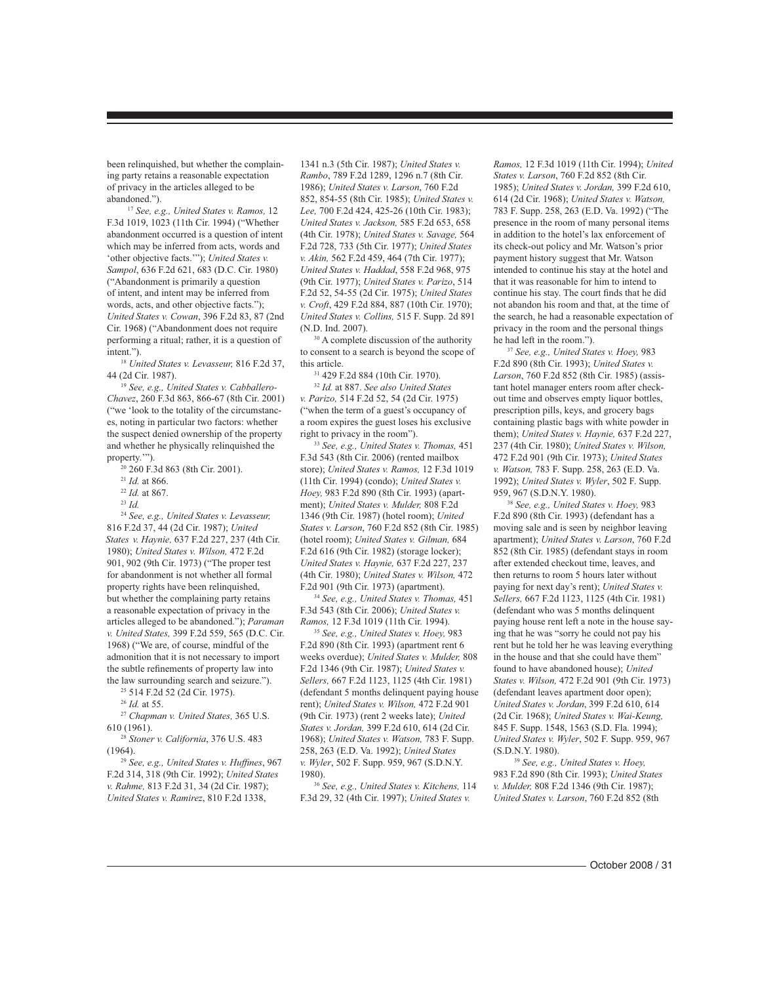been relinquished, but whether the complaining party retains a reasonable expectation of privacy in the articles alleged to be abandoned.").

<sup>17</sup> *See, e.g., United States v. Ramos,* 12 F.3d 1019, 1023 (11th Cir. 1994) ("Whether abandonment occurred is a question of intent which may be inferred from acts, words and 'other objective facts.'"); *United States v. Sampol*, 636 F.2d 621, 683 (D.C. Cir. 1980) ("Abandonment is primarily a question of intent, and intent may be inferred from words, acts, and other objective facts."); *United States v. Cowan*, 396 F.2d 83, 87 (2nd Cir. 1968) ("Abandonment does not require performing a ritual; rather, it is a question of intent."

<sup>18</sup> *United States v. Levasseur,* 816 F.2d 37, 44 (2d Cir. 1987).

<sup>19</sup> *See, e.g., United States v. Cabballero-Chavez*, 260 F.3d 863, 866-67 (8th Cir. 2001) ("we 'look to the totality of the circumstances, noting in particular two factors: whether the suspect denied ownership of the property and whether he physically relinquished the property."").

- <sup>20</sup> 260 F.3d 863 (8th Cir. 2001).
- <sup>21</sup> *Id.* at 866.
- <sup>22</sup> *Id.* at 867.
- <sup>23</sup> *Id.*

<sup>24</sup> *See, e.g., United States v. Levasseur,* 1980); *United States v. Wilson,* 472 F.2d 901, 902 (9th Cir. 1973) ("The proper test for abandonment is not whether all formal property rights have been relinquished, but whether the complaining party retains a reasonable expectation of privacy in the articles alleged to be abandoned."); *Paraman v. United States,* 399 F.2d 559, 565 (D.C. Cir. 1968) ("We are, of course, mindful of the admonition that it is not necessary to import the subtle refinements of property law into the law surrounding search and seizure."). 816 F.2d 37, 44 (2d Cir. 1987); *United States v. Haynie,* 637 F.2d 227, 237 (4th Cir.

<sup>25</sup> 514 F.2d 52 (2d Cir. 1975).

<sup>26</sup> *Id.* at 55.

<sup>27</sup> *Chapman v. United States,* 365 U.S. 610 (1961).

<sup>28</sup> *Stoner v. California*, 376 U.S. 483 (1964).

<sup>29</sup> See, e.g., United States v. Huffines, 967 F.2d 314, 318 (9th Cir. 1992); *United States v. Rahme,* 813 F.2d 31, 34 (2d Cir. 1987); *United States v. Ramirez*, 810 F.2d 1338,

1341 n.3 (5th Cir. 1987); *United States v. Rambo*, 789 F.2d 1289, 1296 n.7 (8th Cir. 1986); *United States v. Larson*, 760 F.2d 852, 854-55 (8th Cir. 1985); *United States v. Lee,* 700 F.2d 424, 425-26 (10th Cir. 1983); *United States v. Jackson,* 585 F.2d 653, 658 (4th Cir. 1978); *United States v. Savage,* 564 F.2d 728, 733 (5th Cir. 1977); *United States v. Akin,* 562 F.2d 459, 464 (7th Cir. 1977); *United States v. Haddad*, 558 F.2d 968, 975 (9th Cir. 1977); *United States v. Parizo*, 514 F.2d 52, 54-55 (2d Cir. 1975); *United States v. Croft*, 429 F.2d 884, 887 (10th Cir. 1970); *United States v. Collins,* 515 F. Supp. 2d 891 (N.D. Ind. 2007).

<sup>30</sup> A complete discussion of the authority to consent to a search is beyond the scope of this article.

<sup>31</sup> 429 F.2d 884 (10th Cir. 1970).

<sup>32</sup> *Id.* at 887. *See also United States v. Parizo,* 514 F.2d 52, 54 (2d Cir. 1975) ("when the term of a guest's occupancy of a room expires the guest loses his exclusive right to privacy in the room").

<sup>33</sup> *See, e.g., United States v. Thomas,* 451 F.3d 543 (8th Cir. 2006) (rented mailbox store); *United States v. Ramos,* 12 F.3d 1019 (11th Cir. 1994) (condo); *United States v. Hoey,* 983 F.2d 890 (8th Cir. 1993) (apartment); *United States v. Mulder,* 808 F.2d 1346 (9th Cir. 1987) (hotel room); *United States v. Larson*, 760 F.2d 852 (8th Cir. 1985) (hotel room); *United States v. Gilman,* 684 F.2d 616 (9th Cir. 1982) (storage locker); *United States v. Haynie,* 637 F.2d 227, 237 (4th Cir. 1980); *United States v. Wilson,* 472 F.2d 901 (9th Cir. 1973) (apartment).

<sup>34</sup> *See, e.g., United States v. Thomas,* 451 F.3d 543 (8th Cir. 2006); *United States v. Ramos,* 12 F.3d 1019 (11th Cir. 1994).

<sup>35</sup> *See, e.g., United States v. Hoey,* 983 F.2d 890 (8th Cir. 1993) (apartment rent 6 weeks overdue); *United States v. Mulder,* 808 F.2d 1346 (9th Cir. 1987); *United States v. Sellers,* 667 F.2d 1123, 1125 (4th Cir. 1981) (defendant 5 months delinquent paying house rent); *United States v. Wilson,* 472 F.2d 901 (9th Cir. 1973) (rent 2 weeks late); *United States v. Jordan,* 399 F.2d 610, 614 (2d Cir. 1968); *United States v. Watson,* 783 F. Supp. 258, 263 (E.D. Va. 1992); *United States v. Wyler*, 502 F. Supp. 959, 967 (S.D.N.Y. 1980).

<sup>36</sup> *See, e.g., United States v. Kitchens,* 114 F.3d 29, 32 (4th Cir. 1997); *United States v.* 

*Ramos,* 12 F.3d 1019 (11th Cir. 1994); *United States v. Larson*, 760 F.2d 852 (8th Cir. 1985); *United States v. Jordan,* 399 F.2d 610, 614 (2d Cir. 1968); *United States v. Watson,* 783 F. Supp. 258, 263 (E.D. Va. 1992) ("The presence in the room of many personal items in addition to the hotel's lax enforcement of its check-out policy and Mr. Watson's prior payment history suggest that Mr. Watson intended to continue his stay at the hotel and that it was reasonable for him to intend to continue his stay. The court finds that he did not abandon his room and that, at the time of the search, he had a reasonable expectation of privacy in the room and the personal things he had left in the room.").

<sup>37</sup> *See, e.g., United States v. Hoey,* 983 F.2d 890 (8th Cir. 1993); *United States v. Larson*, 760 F.2d 852 (8th Cir. 1985) (assistant hotel manager enters room after checkout time and observes empty liquor bottles, prescription pills, keys, and grocery bags containing plastic bags with white powder in them); *United States v. Haynie,* 637 F.2d 227, 237 (4th Cir. 1980); *United States v. Wilson,* 472 F.2d 901 (9th Cir. 1973); *United States v. Watson,* 783 F. Supp. 258, 263 (E.D. Va. 1992); *United States v. Wyler*, 502 F. Supp. 959, 967 (S.D.N.Y. 1980).

<sup>38</sup> *See, e.g., United States v. Hoey,* 983 F.2d 890 (8th Cir. 1993) (defendant has a moving sale and is seen by neighbor leaving apartment); *United States v. Larson*, 760 F.2d 852 (8th Cir. 1985) (defendant stays in room after extended checkout time, leaves, and then returns to room 5 hours later without paying for next day's rent); *United States v. Sellers,* 667 F.2d 1123, 1125 (4th Cir. 1981) (defendant who was 5 months delinquent paying house rent left a note in the house saying that he was "sorry he could not pay his rent but he told her he was leaving everything in the house and that she could have them" found to have abandoned house); *United States v. Wilson,* 472 F.2d 901 (9th Cir. 1973) (defendant leaves apartment door open); *United States v. Jordan*, 399 F.2d 610, 614 (2d Cir. 1968); *United States v. Wai-Keung,* 845 F. Supp. 1548, 1563 (S.D. Fla. 1994); *United States v. Wyler*, 502 F. Supp. 959, 967 (S.D.N.Y. 1980).

<sup>39</sup> *See, e.g., United States v. Hoey,*  983 F.2d 890 (8th Cir. 1993); *United States v. Mulder,* 808 F.2d 1346 (9th Cir. 1987); *United States v. Larson*, 760 F.2d 852 (8th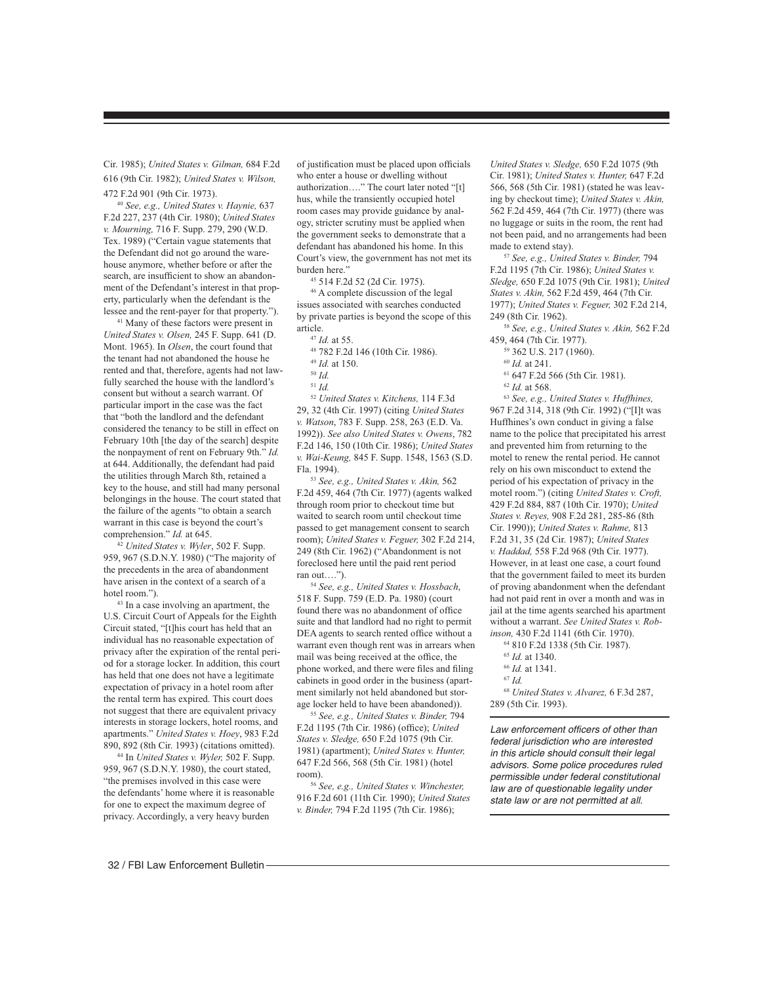Cir. 1985); *United States v. Gilman,* 684 F.2d 616 (9th Cir. 1982); *United States v. Wilson,* 472 F.2d 901 (9th Cir. 1973).

<sup>40</sup> *See, e.g., United States v. Haynie,* 637 F.2d 227, 237 (4th Cir. 1980); *United States v. Mourning,* 716 F. Supp. 279, 290 (W.D. Tex. 1989) ("Certain vague statements that the Defendant did not go around the warehouse anymore, whether before or after the search, are insufficient to show an abandonment of the Defendant's interest in that property, particularly when the defendant is the lessee and the rent-payer for that property.").

<sup>41</sup> Many of these factors were present in *United States v. Olsen,* 245 F. Supp. 641 (D. Mont. 1965). In *Olsen*, the court found that the tenant had not abandoned the house he rented and that, therefore, agents had not lawfully searched the house with the landlord's consent but without a search warrant. Of particular import in the case was the fact that "both the landlord and the defendant considered the tenancy to be still in effect on February 10th [the day of the search] despite the nonpayment of rent on February 9th." *Id.* at 644. Additionally, the defendant had paid the utilities through March 8th, retained a key to the house, and still had many personal belongings in the house. The court stated that the failure of the agents "to obtain a search warrant in this case is beyond the court's comprehension." *Id.* at 645.

<sup>42</sup> *United States v. Wyler*, 502 F. Supp. 959, 967 (S.D.N.Y. 1980) ("The majority of the precedents in the area of abandonment have arisen in the context of a search of a hotel room.").

<sup>43</sup> In a case involving an apartment, the U.S. Circuit Court of Appeals for the Eighth Circuit stated, "[t]his court has held that an individual has no reasonable expectation of privacy after the expiration of the rental period for a storage locker. In addition, this court has held that one does not have a legitimate expectation of privacy in a hotel room after the rental term has expired. This court does not suggest that there are equivalent privacy interests in storage lockers, hotel rooms, and apartments." *United States v. Hoey*, 983 F.2d 890, 892 (8th Cir. 1993) (citations omitted).

<sup>44</sup> In *United States v. Wyler,* 502 F. Supp. 959, 967 (S.D.N.Y. 1980), the court stated, "the premises involved in this case were the defendants' home where it is reasonable for one to expect the maximum degree of privacy. Accordingly, a very heavy burden

of justification must be placed upon officials who enter a house or dwelling without authorization…." The court later noted "[t] hus, while the transiently occupied hotel room cases may provide guidance by analogy, stricter scrutiny must be applied when the government seeks to demonstrate that a defendant has abandoned his home. In this Court's view, the government has not met its burden here.'

<sup>45</sup> 514 F.2d 52 (2d Cir. 1975).

<sup>46</sup> A complete discussion of the legal issues associated with searches conducted by private parties is beyond the scope of this article.

- <sup>48</sup> 782 F.2d 146 (10th Cir. 1986).
- <sup>49</sup> *Id.* at 150.

<sup>52</sup> *United States v. Kitchens,* 114 F.3d 29, 32 (4th Cir. 1997) (citing *United States v. Watson*, 783 F. Supp. 258, 263 (E.D. Va. 1992)). *See also United States v. Owens*, 782 F.2d 146, 150 (10th Cir. 1986); *United States v. Wai-Keung,* 845 F. Supp. 1548, 1563 (S.D. Fla. 1994).

<sup>53</sup> *See, e.g., United States v. Akin,* 562 F.2d 459, 464 (7th Cir. 1977) (agents walked through room prior to checkout time but waited to search room until checkout time passed to get management consent to search room); *United States v. Feguer,* 302 F.2d 214, 249 (8th Cir. 1962) ("Abandonment is not foreclosed here until the paid rent period ran out….").

<sup>54</sup> *See, e.g., United States v. Hossbach*, 518 F. Supp. 759 (E.D. Pa. 1980) (court found there was no abandonment of office suite and that landlord had no right to permit DEA agents to search rented office without a warrant even though rent was in arrears when mail was being received at the office, the phone worked, and there were files and filing cabinets in good order in the business (apartment similarly not held abandoned but storage locker held to have been abandoned)).

<sup>55</sup> *See, e.g., United States v. Binder,* 794 F.2d 1195 (7th Cir. 1986) (office); *United States v. Sledge,* 650 F.2d 1075 (9th Cir. 1981) (apartment); *United States v. Hunter,* 647 F.2d 566, 568 (5th Cir. 1981) (hotel room).

<sup>56</sup> *See, e.g., United States v. Winchester,*  916 F.2d 601 (11th Cir. 1990); *United States v. Binder,* 794 F.2d 1195 (7th Cir. 1986);

*United States v. Sledge,* 650 F.2d 1075 (9th Cir. 1981); *United States v. Hunter,* 647 F.2d 566, 568 (5th Cir. 1981) (stated he was leaving by checkout time); *United States v. Akin,* 562 F.2d 459, 464 (7th Cir. 1977) (there was no luggage or suits in the room, the rent had not been paid, and no arrangements had been made to extend stay).

<sup>57</sup> *See, e.g., United States v. Binder,* 794 F.2d 1195 (7th Cir. 1986); *United States v. Sledge,* 650 F.2d 1075 (9th Cir. 1981); *United States v. Akin,* 562 F.2d 459, 464 (7th Cir. 1977); *United States v. Feguer,* 302 F.2d 214, 249 (8th Cir. 1962).

<sup>58</sup> *See, e.g., United States v. Akin,* 562 F.2d 459, 464 (7th Cir. 1977).

<sup>59</sup> 362 U.S. 217 (1960).

<sup>60</sup> *Id.* at 241.

<sup>63</sup> *See, e.g., United States v. Huffhines,*  967 F.2d 314, 318 (9th Cir. 1992) ("[I]t was Huffhines's own conduct in giving a false name to the police that precipitated his arrest and prevented him from returning to the motel to renew the rental period. He cannot rely on his own misconduct to extend the period of his expectation of privacy in the motel room.") (citing *United States v. Croft,*  429 F.2d 884, 887 (10th Cir. 1970); *United States v. Reyes,* 908 F.2d 281, 285-86 (8th Cir. 1990)); *United States v. Rahme,* 813 F.2d 31, 35 (2d Cir. 1987); *United States v. Haddad,* 558 F.2d 968 (9th Cir. 1977). However, in at least one case, a court found that the government failed to meet its burden of proving abandonment when the defendant had not paid rent in over a month and was in jail at the time agents searched his apartment without a warrant. *See United States v. Robinson,* 430 F.2d 1141 (6th Cir. 1970).

<sup>68</sup> *United States v. Alvarez,* 6 F.3d 287, 289 (5th Cir. 1993).

Law enforcement officers of other than federal jurisdiction who are interested in this article should consult their legal advisors. Some police procedures ruled permissible under federal constitutional law are of questionable legality under state law or are not permitted at all.

<sup>47</sup> *Id.* at 55.

<sup>50</sup> *Id.*

<sup>51</sup> *Id.*

<sup>61</sup> 647 F.2d 566 (5th Cir. 1981).

<sup>62</sup> *Id.* at 568.

<sup>64</sup> 810 F.2d 1338 (5th Cir. 1987).

<sup>65</sup> *Id.* at 1340.

<sup>66</sup> *Id.* at 1341.

<sup>67</sup> *Id.*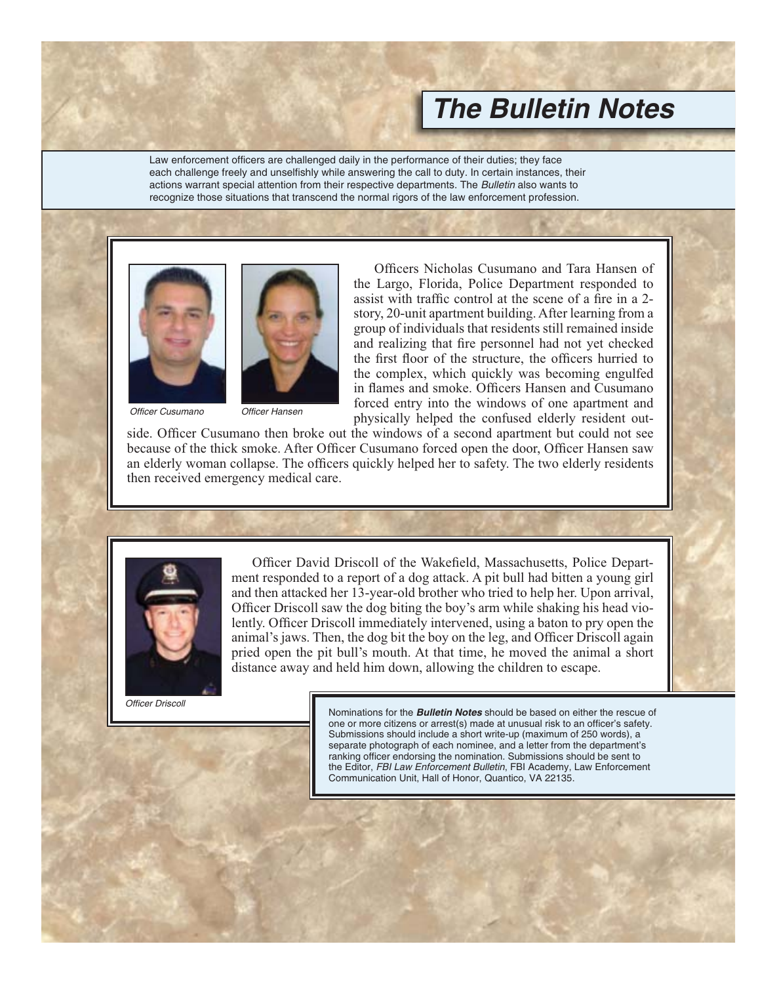### **The Bulletin Notes**

Law enforcement officers are challenged daily in the performance of their duties; they face each challenge freely and unselfishly while answering the call to duty. In certain instances, their actions warrant special attention from their respective departments. The Bulletin also wants to recognize those situations that transcend the normal rigors of the law enforcement profession.





Officer Cusumano Officer Hansen

Officers Nicholas Cusumano and Tara Hansen of the Largo, Florida, Police Department responded to assist with traffic control at the scene of a fire in a 2 story, 20-unit apartment building. After learning from a group of individuals that residents still remained inside and realizing that fire personnel had not yet checked the first floor of the structure, the officers hurried to the complex, which quickly was becoming engulfed in flames and smoke. Officers Hansen and Cusumano forced entry into the windows of one apartment and physically helped the confused elderly resident out-

side. Officer Cusumano then broke out the windows of a second apartment but could not see because of the thick smoke. After Officer Cusumano forced open the door, Officer Hansen saw an elderly woman collapse. The officers quickly helped her to safety. The two elderly residents then received emergency medical care.



Officer Driscoll

Officer David Driscoll of the Wakefield, Massachusetts, Police Department responded to a report of a dog attack. A pit bull had bitten a young girl and then attacked her 13-year-old brother who tried to help her. Upon arrival, Officer Driscoll saw the dog biting the boy's arm while shaking his head violently. Officer Driscoll immediately intervened, using a baton to pry open the animal's jaws. Then, the dog bit the boy on the leg, and Officer Driscoll again pried open the pit bull's mouth. At that time, he moved the animal a short distance away and held him down, allowing the children to escape.

> Nominations for the **Bulletin Notes** should be based on either the rescue of one or more citizens or arrest(s) made at unusual risk to an officer's safety. Submissions should include a short write-up (maximum of 250 words), a separate photograph of each nominee, and a letter from the department's ranking officer endorsing the nomination. Submissions should be sent to the Editor, FBI Law Enforcement Bulletin, FBI Academy, Law Enforcement Communication Unit, Hall of Honor, Quantico, VA 22135.